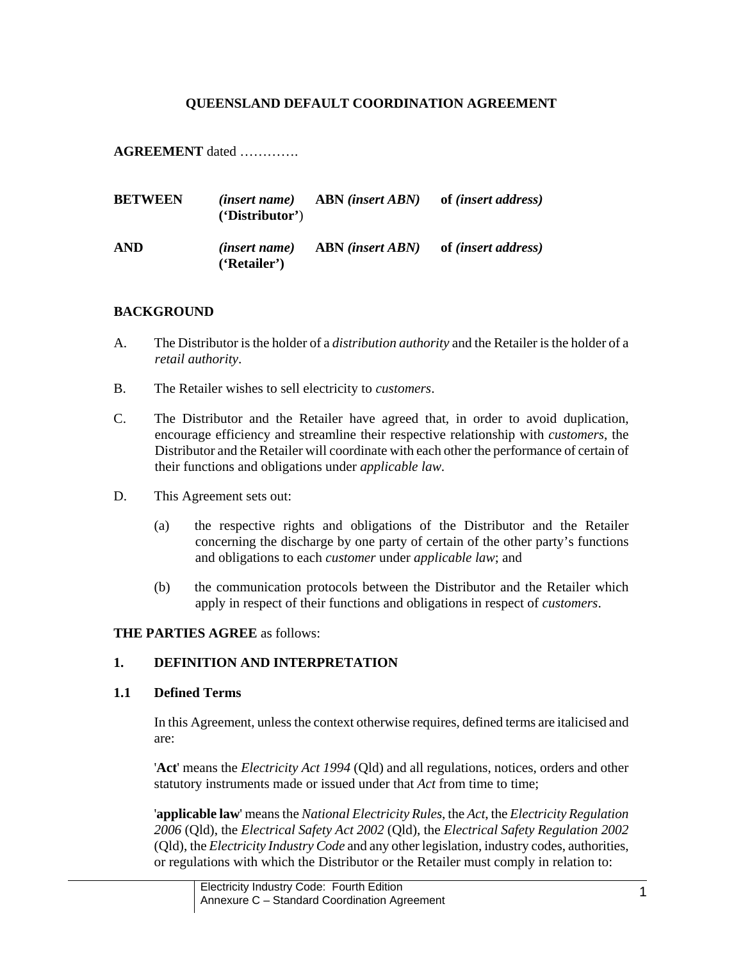## **QUEENSLAND DEFAULT COORDINATION AGREEMENT**

**AGREEMENT** dated ………….

| <b>BETWEEN</b> | <i>(insert name)</i><br>'Distribution' | <b>ABN</b> (insert ABN) | of <i>(insert address)</i> |
|----------------|----------------------------------------|-------------------------|----------------------------|
| <b>AND</b>     | <i>(insert name)</i><br>('Retailer')   | <b>ABN</b> (insert ABN) | of <i>(insert address)</i> |

### **BACKGROUND**

- A. The Distributor is the holder of a *distribution authority* and the Retailer is the holder of a *retail authority*.
- B. The Retailer wishes to sell electricity to *customers*.
- C. The Distributor and the Retailer have agreed that, in order to avoid duplication, encourage efficiency and streamline their respective relationship with *customers*, the Distributor and the Retailer will coordinate with each other the performance of certain of their functions and obligations under *applicable law*.
- D. This Agreement sets out:
	- (a) the respective rights and obligations of the Distributor and the Retailer concerning the discharge by one party of certain of the other party's functions and obligations to each *customer* under *applicable law*; and
	- (b) the communication protocols between the Distributor and the Retailer which apply in respect of their functions and obligations in respect of *customers*.

## **THE PARTIES AGREE** as follows:

## **1. DEFINITION AND INTERPRETATION**

#### **1.1 Defined Terms**

In this Agreement, unless the context otherwise requires, defined terms are italicised and are:

'**Act**' means the *Electricity Act 1994* (Qld) and all regulations, notices, orders and other statutory instruments made or issued under that *Act* from time to time;

'**applicable law**' means the *National Electricity Rules*, the *Act*, the *Electricity Regulation 2006* (Qld), the *Electrical Safety Act 2002* (Qld), the *Electrical Safety Regulation 2002* (Qld), the *Electricity Industry Code* and any other legislation, industry codes, authorities, or regulations with which the Distributor or the Retailer must comply in relation to: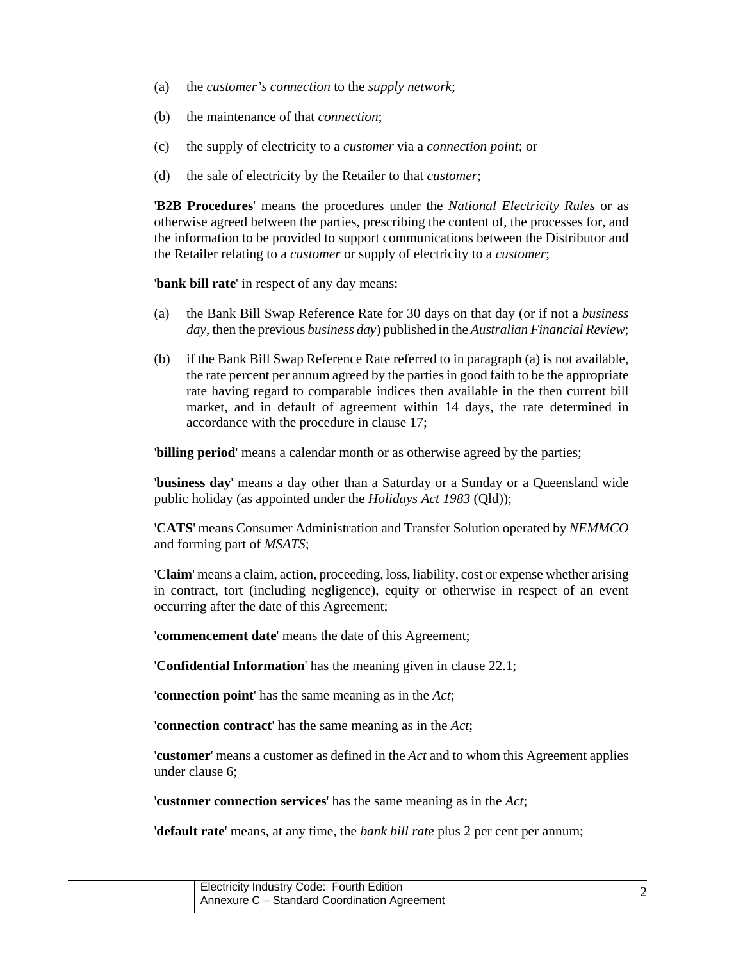- (a) the *customer's connection* to the *supply network*;
- (b) the maintenance of that *connection*;
- (c) the supply of electricity to a *customer* via a *connection point*; or
- (d) the sale of electricity by the Retailer to that *customer*;

'**B2B Procedures**' means the procedures under the *National Electricity Rules* or as otherwise agreed between the parties, prescribing the content of, the processes for, and the information to be provided to support communications between the Distributor and the Retailer relating to a *customer* or supply of electricity to a *customer*;

'**bank bill rate**' in respect of any day means:

- (a) the Bank Bill Swap Reference Rate for 30 days on that day (or if not a *business day*, then the previous *business day*) published in the *Australian Financial Review*;
- (b) if the Bank Bill Swap Reference Rate referred to in paragraph (a) is not available, the rate percent per annum agreed by the parties in good faith to be the appropriate rate having regard to comparable indices then available in the then current bill market, and in default of agreement within 14 days, the rate determined in accordance with the procedure in clause 17;

'**billing period**' means a calendar month or as otherwise agreed by the parties;

'**business day**' means a day other than a Saturday or a Sunday or a Queensland wide public holiday (as appointed under the *Holidays Act 1983* (Qld));

'**CATS**' means Consumer Administration and Transfer Solution operated by *NEMMCO* and forming part of *MSATS*;

'**Claim**' means a claim, action, proceeding, loss, liability, cost or expense whether arising in contract, tort (including negligence), equity or otherwise in respect of an event occurring after the date of this Agreement;

'**commencement date**' means the date of this Agreement;

'**Confidential Information**' has the meaning given in clause 22.1;

'**connection point**' has the same meaning as in the *Act*;

'**connection contract**' has the same meaning as in the *Act*;

'**customer**' means a customer as defined in the *Act* and to whom this Agreement applies under clause 6;

'**customer connection services**' has the same meaning as in the *Act*;

'**default rate**' means, at any time, the *bank bill rate* plus 2 per cent per annum;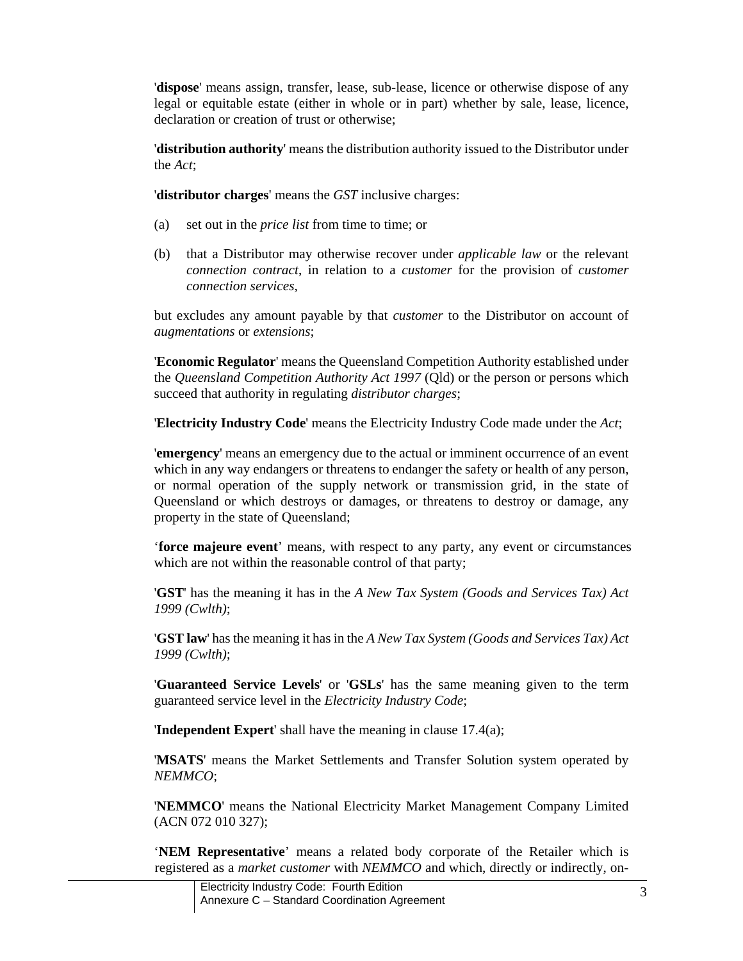'**dispose**' means assign, transfer, lease, sub-lease, licence or otherwise dispose of any legal or equitable estate (either in whole or in part) whether by sale, lease, licence, declaration or creation of trust or otherwise;

'**distribution authority**' means the distribution authority issued to the Distributor under the *Act*;

'**distributor charges**' means the *GST* inclusive charges:

- (a) set out in the *price list* from time to time; or
- (b) that a Distributor may otherwise recover under *applicable law* or the relevant *connection contract*, in relation to a *customer* for the provision of *customer connection services*,

but excludes any amount payable by that *customer* to the Distributor on account of *augmentations* or *extensions*;

'**Economic Regulator**' means the Queensland Competition Authority established under the *Queensland Competition Authority Act 1997* (Qld) or the person or persons which succeed that authority in regulating *distributor charges*;

'**Electricity Industry Code**' means the Electricity Industry Code made under the *Act*;

'**emergency**' means an emergency due to the actual or imminent occurrence of an event which in any way endangers or threatens to endanger the safety or health of any person, or normal operation of the supply network or transmission grid, in the state of Queensland or which destroys or damages, or threatens to destroy or damage, any property in the state of Queensland;

'**force majeure event**' means, with respect to any party, any event or circumstances which are not within the reasonable control of that party;

'**GST**' has the meaning it has in the *A New Tax System (Goods and Services Tax) Act 1999 (Cwlth)*;

'**GST law**' has the meaning it has in the *A New Tax System (Goods and Services Tax) Act 1999 (Cwlth)*;

'**Guaranteed Service Levels**' or '**GSLs**' has the same meaning given to the term guaranteed service level in the *Electricity Industry Code*;

'**Independent Expert**' shall have the meaning in clause 17.4(a);

'**MSATS**' means the Market Settlements and Transfer Solution system operated by *NEMMCO*;

'**NEMMCO**' means the National Electricity Market Management Company Limited (ACN 072 010 327);

'**NEM Representative**' means a related body corporate of the Retailer which is registered as a *market customer* with *NEMMCO* and which, directly or indirectly, on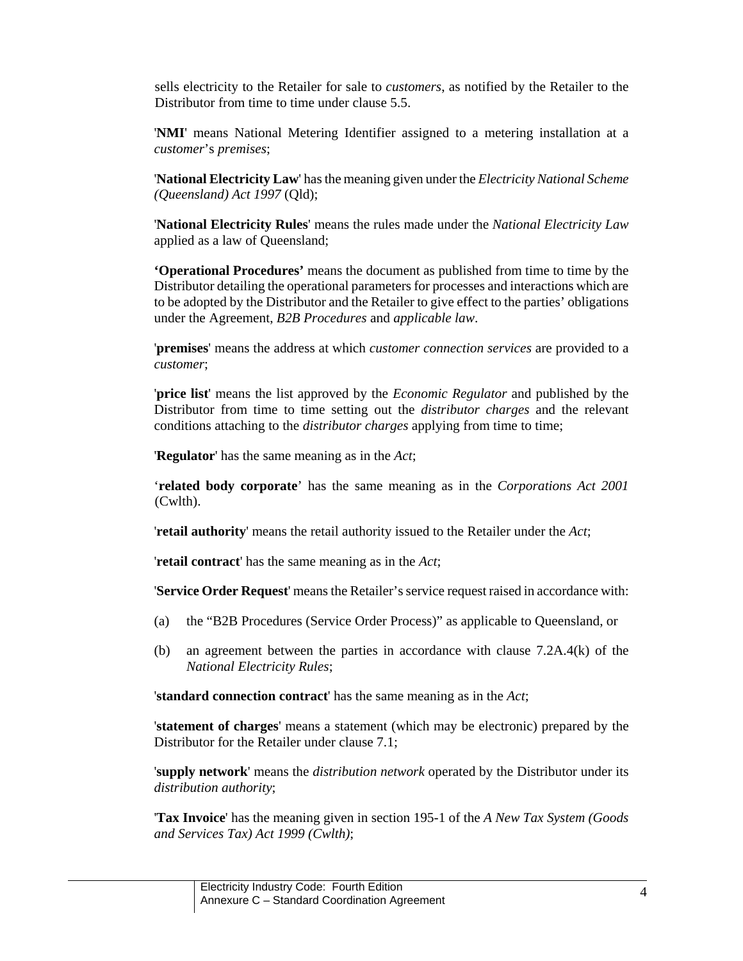sells electricity to the Retailer for sale to *customers*, as notified by the Retailer to the Distributor from time to time under clause 5.5.

'**NMI**' means National Metering Identifier assigned to a metering installation at a *customer*'s *premises*;

'**National Electricity Law**' has the meaning given under the *Electricity National Scheme (Queensland) Act 1997* (Qld);

'**National Electricity Rules**' means the rules made under the *National Electricity Law* applied as a law of Queensland;

**'Operational Procedures'** means the document as published from time to time by the Distributor detailing the operational parameters for processes and interactions which are to be adopted by the Distributor and the Retailer to give effect to the parties' obligations under the Agreement, *B2B Procedures* and *applicable law*.

'**premises**' means the address at which *customer connection services* are provided to a *customer*;

'**price list**' means the list approved by the *Economic Regulator* and published by the Distributor from time to time setting out the *distributor charges* and the relevant conditions attaching to the *distributor charges* applying from time to time;

'**Regulator**' has the same meaning as in the *Act*;

'**related body corporate**' has the same meaning as in the *Corporations Act 2001*  (Cwlth).

'**retail authority**' means the retail authority issued to the Retailer under the *Act*;

'**retail contract**' has the same meaning as in the *Act*;

'**Service Order Request**' means the Retailer's service request raised in accordance with:

- (a) the "B2B Procedures (Service Order Process)" as applicable to Queensland, or
- (b) an agreement between the parties in accordance with clause 7.2A.4(k) of the *National Electricity Rules*;

'**standard connection contract**' has the same meaning as in the *Act*;

'**statement of charges**' means a statement (which may be electronic) prepared by the Distributor for the Retailer under clause 7.1;

'**supply network**' means the *distribution network* operated by the Distributor under its *distribution authority*;

'**Tax Invoice**' has the meaning given in section 195-1 of the *A New Tax System (Goods and Services Tax) Act 1999 (Cwlth)*;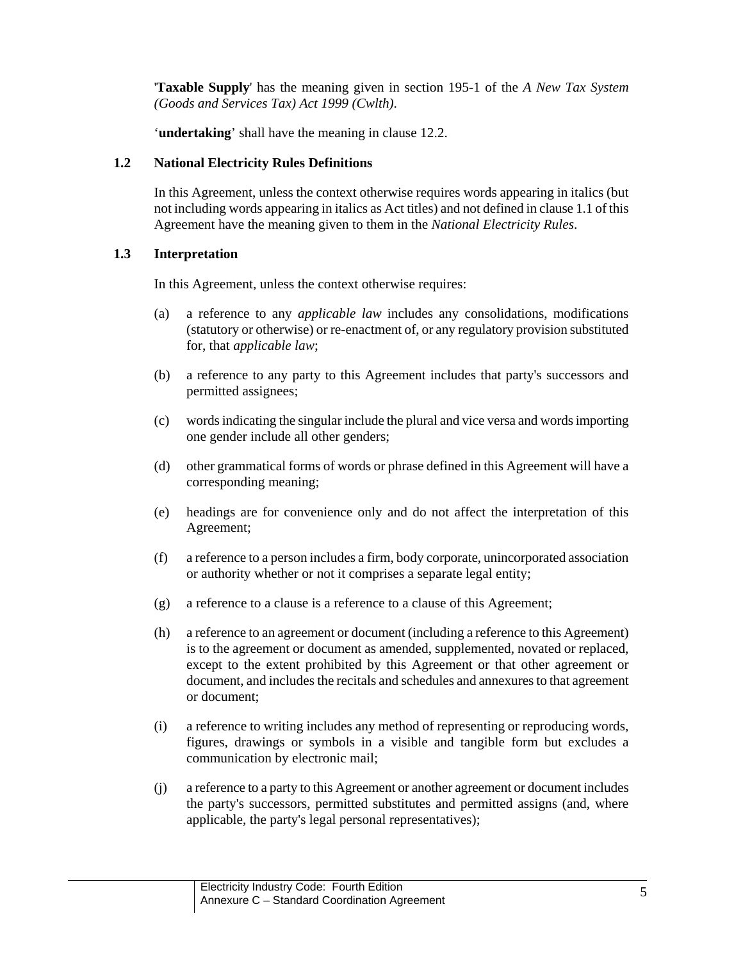'**Taxable Supply**' has the meaning given in section 195-1 of the *A New Tax System (Goods and Services Tax) Act 1999 (Cwlth)*.

'**undertaking**' shall have the meaning in clause 12.2.

## **1.2 National Electricity Rules Definitions**

In this Agreement, unless the context otherwise requires words appearing in italics (but not including words appearing in italics as Act titles) and not defined in clause 1.1 of this Agreement have the meaning given to them in the *National Electricity Rules*.

## **1.3 Interpretation**

In this Agreement, unless the context otherwise requires:

- (a) a reference to any *applicable law* includes any consolidations, modifications (statutory or otherwise) or re-enactment of, or any regulatory provision substituted for, that *applicable law*;
- (b) a reference to any party to this Agreement includes that party's successors and permitted assignees;
- (c) words indicating the singular include the plural and vice versa and words importing one gender include all other genders;
- (d) other grammatical forms of words or phrase defined in this Agreement will have a corresponding meaning;
- (e) headings are for convenience only and do not affect the interpretation of this Agreement;
- (f) a reference to a person includes a firm, body corporate, unincorporated association or authority whether or not it comprises a separate legal entity;
- (g) a reference to a clause is a reference to a clause of this Agreement;
- (h) a reference to an agreement or document (including a reference to this Agreement) is to the agreement or document as amended, supplemented, novated or replaced, except to the extent prohibited by this Agreement or that other agreement or document, and includes the recitals and schedules and annexures to that agreement or document;
- (i) a reference to writing includes any method of representing or reproducing words, figures, drawings or symbols in a visible and tangible form but excludes a communication by electronic mail;
- (j) a reference to a party to this Agreement or another agreement or document includes the party's successors, permitted substitutes and permitted assigns (and, where applicable, the party's legal personal representatives);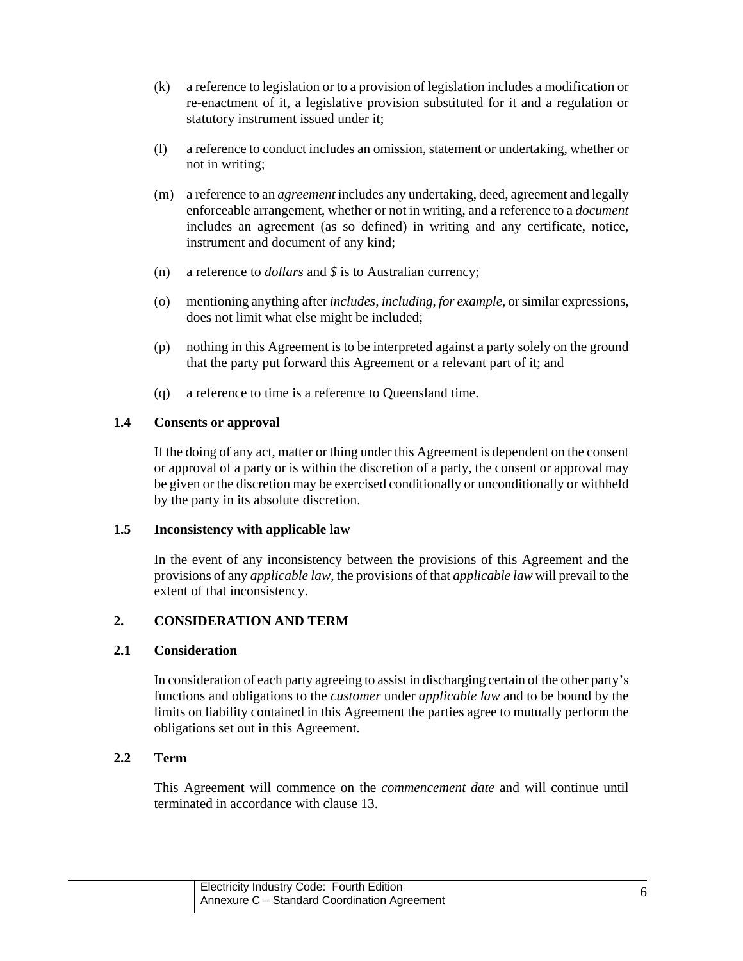- (k) a reference to legislation or to a provision of legislation includes a modification or re-enactment of it, a legislative provision substituted for it and a regulation or statutory instrument issued under it;
- (l) a reference to conduct includes an omission, statement or undertaking, whether or not in writing;
- (m) a reference to an *agreement* includes any undertaking, deed, agreement and legally enforceable arrangement, whether or not in writing, and a reference to a *document* includes an agreement (as so defined) in writing and any certificate, notice, instrument and document of any kind;
- (n) a reference to *dollars* and *\$* is to Australian currency;
- (o) mentioning anything after *includes*, *including*, *for example*, or similar expressions, does not limit what else might be included;
- (p) nothing in this Agreement is to be interpreted against a party solely on the ground that the party put forward this Agreement or a relevant part of it; and
- (q) a reference to time is a reference to Queensland time.

### **1.4 Consents or approval**

If the doing of any act, matter or thing under this Agreement is dependent on the consent or approval of a party or is within the discretion of a party, the consent or approval may be given or the discretion may be exercised conditionally or unconditionally or withheld by the party in its absolute discretion.

#### **1.5 Inconsistency with applicable law**

In the event of any inconsistency between the provisions of this Agreement and the provisions of any *applicable law*, the provisions of that *applicable law* will prevail to the extent of that inconsistency.

## **2. CONSIDERATION AND TERM**

## **2.1 Consideration**

In consideration of each party agreeing to assist in discharging certain of the other party's functions and obligations to the *customer* under *applicable law* and to be bound by the limits on liability contained in this Agreement the parties agree to mutually perform the obligations set out in this Agreement.

## **2.2 Term**

This Agreement will commence on the *commencement date* and will continue until terminated in accordance with clause 13.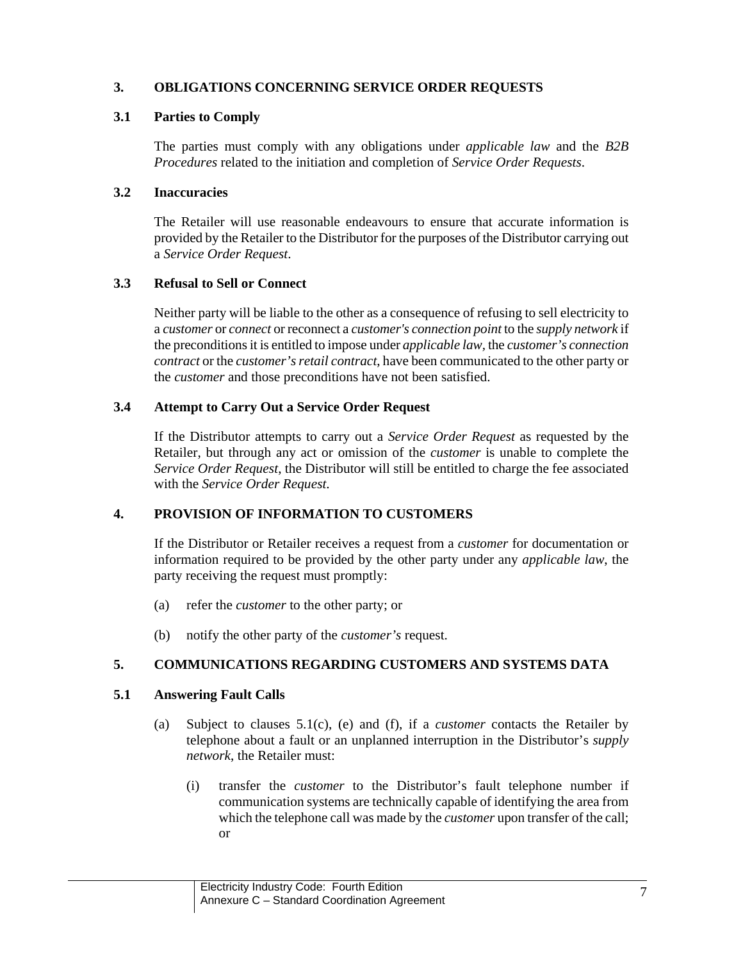## **3. OBLIGATIONS CONCERNING SERVICE ORDER REQUESTS**

## **3.1 Parties to Comply**

The parties must comply with any obligations under *applicable law* and the *B2B Procedures* related to the initiation and completion of *Service Order Requests*.

### **3.2 Inaccuracies**

The Retailer will use reasonable endeavours to ensure that accurate information is provided by the Retailer to the Distributor for the purposes of the Distributor carrying out a *Service Order Request*.

## **3.3 Refusal to Sell or Connect**

Neither party will be liable to the other as a consequence of refusing to sell electricity to a *customer* or *connect* or reconnect a *customer's connection point* to the *supply network* if the preconditions it is entitled to impose under *applicable law,* the *customer's connection contract* or the *customer's retail contract*, have been communicated to the other party or the *customer* and those preconditions have not been satisfied.

## **3.4 Attempt to Carry Out a Service Order Request**

If the Distributor attempts to carry out a *Service Order Request* as requested by the Retailer, but through any act or omission of the *customer* is unable to complete the *Service Order Request*, the Distributor will still be entitled to charge the fee associated with the *Service Order Request*.

# **4. PROVISION OF INFORMATION TO CUSTOMERS**

If the Distributor or Retailer receives a request from a *customer* for documentation or information required to be provided by the other party under any *applicable law*, the party receiving the request must promptly:

- (a) refer the *customer* to the other party; or
- (b) notify the other party of the *customer's* request.

## **5. COMMUNICATIONS REGARDING CUSTOMERS AND SYSTEMS DATA**

## **5.1 Answering Fault Calls**

- (a) Subject to clauses 5.1(c), (e) and (f), if a *customer* contacts the Retailer by telephone about a fault or an unplanned interruption in the Distributor's *supply network*, the Retailer must:
	- (i) transfer the *customer* to the Distributor's fault telephone number if communication systems are technically capable of identifying the area from which the telephone call was made by the *customer* upon transfer of the call; or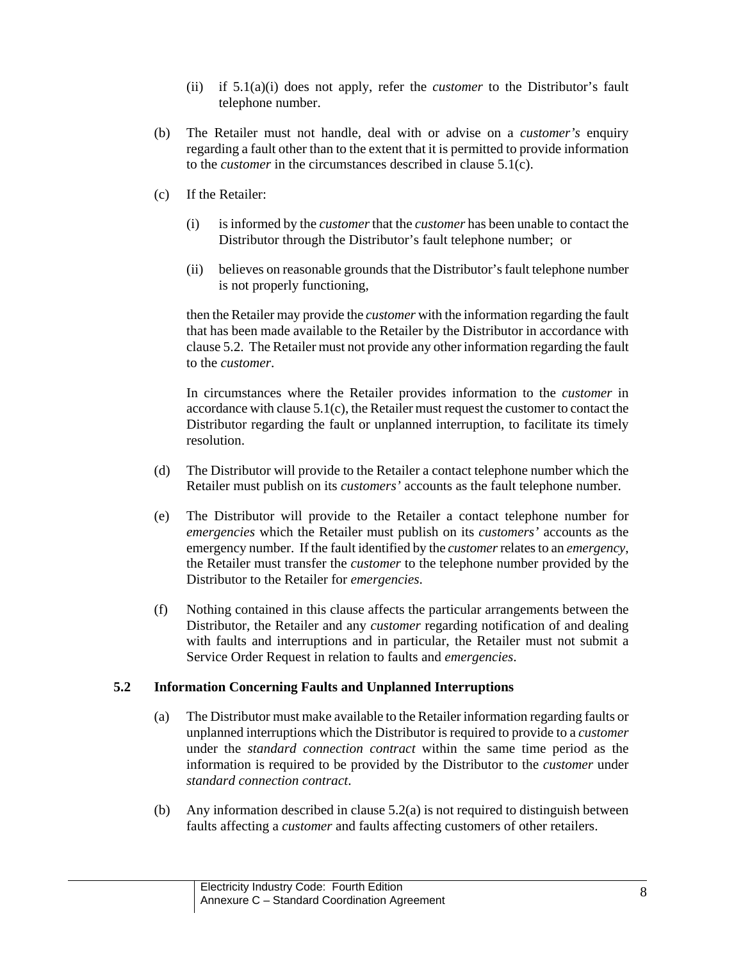- (ii) if 5.1(a)(i) does not apply, refer the *customer* to the Distributor's fault telephone number.
- (b) The Retailer must not handle, deal with or advise on a *customer's* enquiry regarding a fault other than to the extent that it is permitted to provide information to the *customer* in the circumstances described in clause 5.1(c).
- (c) If the Retailer:
	- (i) is informed by the *customer* that the *customer* has been unable to contact the Distributor through the Distributor's fault telephone number; or
	- (ii) believes on reasonable grounds that the Distributor's fault telephone number is not properly functioning,

then the Retailer may provide the *customer* with the information regarding the fault that has been made available to the Retailer by the Distributor in accordance with clause 5.2. The Retailer must not provide any other information regarding the fault to the *customer*.

In circumstances where the Retailer provides information to the *customer* in accordance with clause  $5.1(c)$ , the Retailer must request the customer to contact the Distributor regarding the fault or unplanned interruption, to facilitate its timely resolution.

- (d) The Distributor will provide to the Retailer a contact telephone number which the Retailer must publish on its *customers'* accounts as the fault telephone number.
- (e) The Distributor will provide to the Retailer a contact telephone number for *emergencies* which the Retailer must publish on its *customers'* accounts as the emergency number. If the fault identified by the *customer* relates to an *emergency*, the Retailer must transfer the *customer* to the telephone number provided by the Distributor to the Retailer for *emergencies*.
- (f) Nothing contained in this clause affects the particular arrangements between the Distributor, the Retailer and any *customer* regarding notification of and dealing with faults and interruptions and in particular, the Retailer must not submit a Service Order Request in relation to faults and *emergencies*.

## **5.2 Information Concerning Faults and Unplanned Interruptions**

- (a) The Distributor must make available to the Retailer information regarding faults or unplanned interruptions which the Distributor is required to provide to a *customer* under the *standard connection contract* within the same time period as the information is required to be provided by the Distributor to the *customer* under *standard connection contract*.
- (b) Any information described in clause  $5.2(a)$  is not required to distinguish between faults affecting a *customer* and faults affecting customers of other retailers.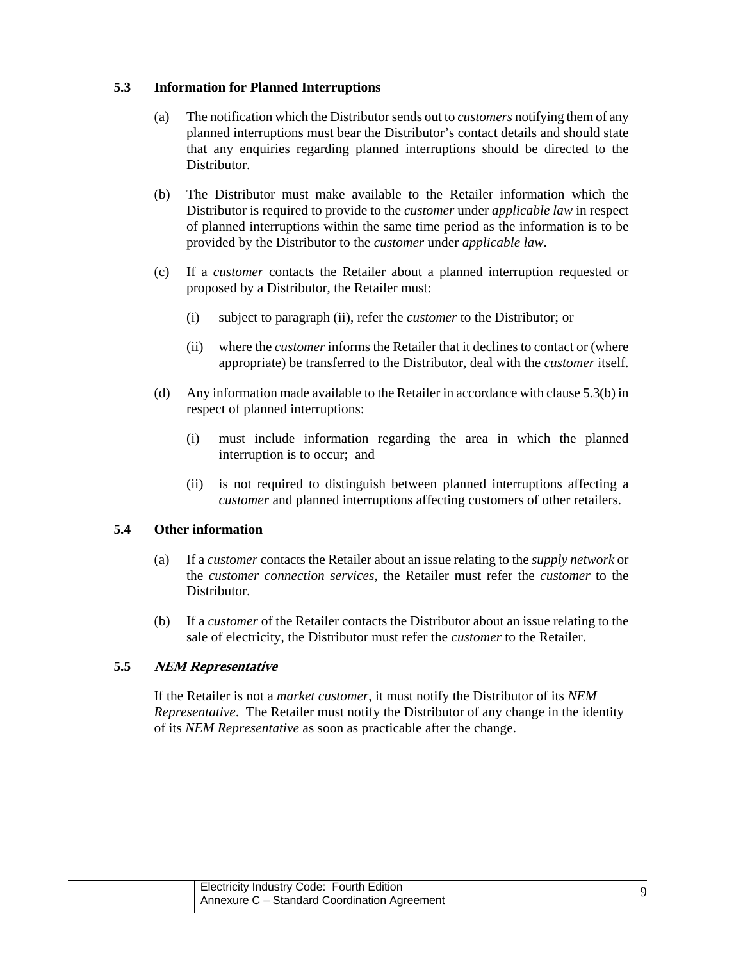## **5.3 Information for Planned Interruptions**

- (a) The notification which the Distributor sends out to *customers* notifying them of any planned interruptions must bear the Distributor's contact details and should state that any enquiries regarding planned interruptions should be directed to the Distributor.
- (b) The Distributor must make available to the Retailer information which the Distributor is required to provide to the *customer* under *applicable law* in respect of planned interruptions within the same time period as the information is to be provided by the Distributor to the *customer* under *applicable law*.
- (c) If a *customer* contacts the Retailer about a planned interruption requested or proposed by a Distributor, the Retailer must:
	- (i) subject to paragraph (ii), refer the *customer* to the Distributor; or
	- (ii) where the *customer* informs the Retailer that it declines to contact or (where appropriate) be transferred to the Distributor, deal with the *customer* itself.
- (d) Any information made available to the Retailer in accordance with clause 5.3(b) in respect of planned interruptions:
	- (i) must include information regarding the area in which the planned interruption is to occur; and
	- (ii) is not required to distinguish between planned interruptions affecting a *customer* and planned interruptions affecting customers of other retailers.

## **5.4 Other information**

- (a) If a *customer* contacts the Retailer about an issue relating to the *supply network* or the *customer connection services*, the Retailer must refer the *customer* to the Distributor.
- (b) If a *customer* of the Retailer contacts the Distributor about an issue relating to the sale of electricity, the Distributor must refer the *customer* to the Retailer.

## **5.5 NEM Representative**

If the Retailer is not a *market customer*, it must notify the Distributor of its *NEM Representative*. The Retailer must notify the Distributor of any change in the identity of its *NEM Representative* as soon as practicable after the change.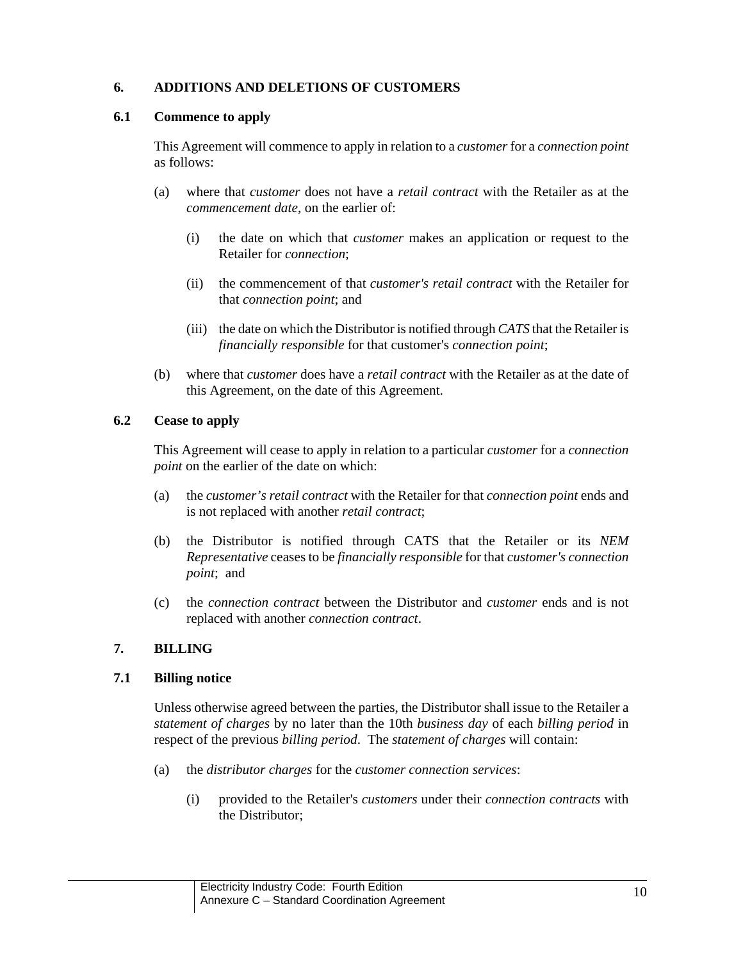# **6. ADDITIONS AND DELETIONS OF CUSTOMERS**

### **6.1 Commence to apply**

This Agreement will commence to apply in relation to a *customer* for a *connection point* as follows:

- (a) where that *customer* does not have a *retail contract* with the Retailer as at the *commencement date*, on the earlier of:
	- (i) the date on which that *customer* makes an application or request to the Retailer for *connection*;
	- (ii) the commencement of that *customer's retail contract* with the Retailer for that *connection point*; and
	- (iii) the date on which the Distributor is notified through *CATS* that the Retailer is *financially responsible* for that customer's *connection point*;
- (b) where that *customer* does have a *retail contract* with the Retailer as at the date of this Agreement, on the date of this Agreement.

## **6.2 Cease to apply**

This Agreement will cease to apply in relation to a particular *customer* for a *connection point* on the earlier of the date on which:

- (a) the *customer's retail contract* with the Retailer for that *connection point* ends and is not replaced with another *retail contract*;
- (b) the Distributor is notified through CATS that the Retailer or its *NEM Representative* ceases to be *financially responsible* for that *customer's connection point*; and
- (c) the *connection contract* between the Distributor and *customer* ends and is not replaced with another *connection contract*.

## **7. BILLING**

## **7.1 Billing notice**

Unless otherwise agreed between the parties, the Distributor shall issue to the Retailer a *statement of charges* by no later than the 10th *business day* of each *billing period* in respect of the previous *billing period*. The *statement of charges* will contain:

- (a) the *distributor charges* for the *customer connection services*:
	- (i) provided to the Retailer's *customers* under their *connection contracts* with the Distributor;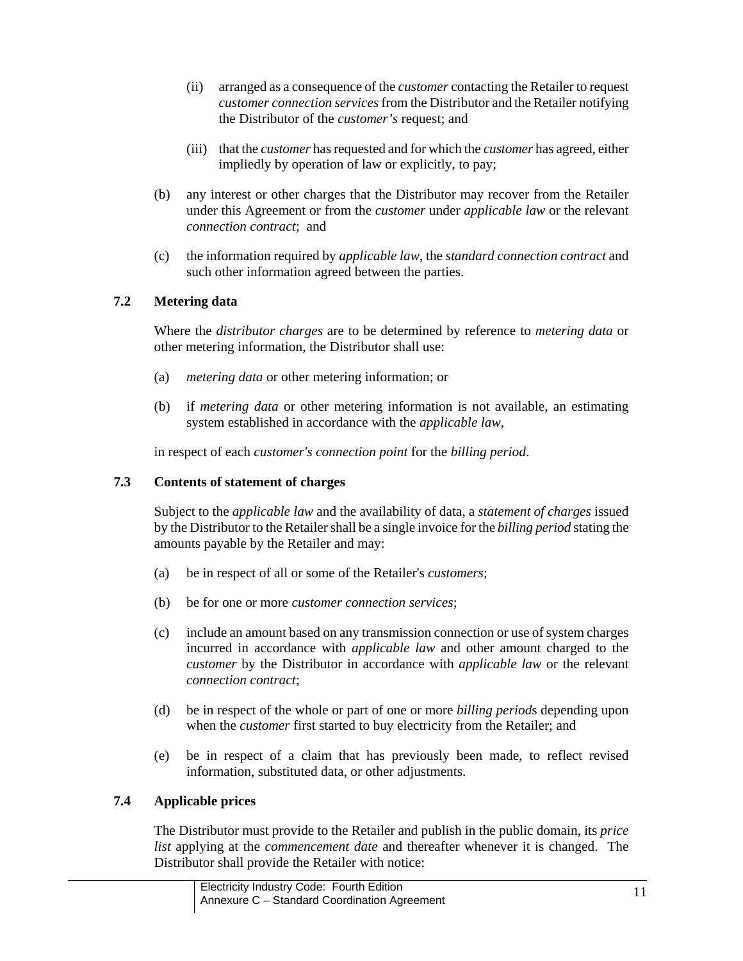- (ii) arranged as a consequence of the *customer* contacting the Retailer to request *customer connection services* from the Distributor and the Retailer notifying the Distributor of the *customer's* request; and
- (iii) that the *customer* has requested and for which the *customer* has agreed, either impliedly by operation of law or explicitly, to pay;
- (b) any interest or other charges that the Distributor may recover from the Retailer under this Agreement or from the *customer* under *applicable law* or the relevant *connection contract*; and
- (c) the information required by *applicable law*, the *standard connection contract* and such other information agreed between the parties.

# **7.2 Metering data**

Where the *distributor charges* are to be determined by reference to *metering data* or other metering information, the Distributor shall use:

- (a) *metering data* or other metering information; or
- (b) if *metering data* or other metering information is not available, an estimating system established in accordance with the *applicable law*,

in respect of each *customer's connection point* for the *billing period*.

# **7.3 Contents of statement of charges**

Subject to the *applicable law* and the availability of data, a *statement of charges* issued by the Distributor to the Retailer shall be a single invoice for the *billing period* stating the amounts payable by the Retailer and may:

- (a) be in respect of all or some of the Retailer's *customers*;
- (b) be for one or more *customer connection services*;
- (c) include an amount based on any transmission connection or use of system charges incurred in accordance with *applicable law* and other amount charged to the *customer* by the Distributor in accordance with *applicable law* or the relevant *connection contract*;
- (d) be in respect of the whole or part of one or more *billing period*s depending upon when the *customer* first started to buy electricity from the Retailer; and
- (e) be in respect of a claim that has previously been made, to reflect revised information, substituted data, or other adjustments.

# **7.4 Applicable prices**

The Distributor must provide to the Retailer and publish in the public domain, its *price list* applying at the *commencement date* and thereafter whenever it is changed. The Distributor shall provide the Retailer with notice: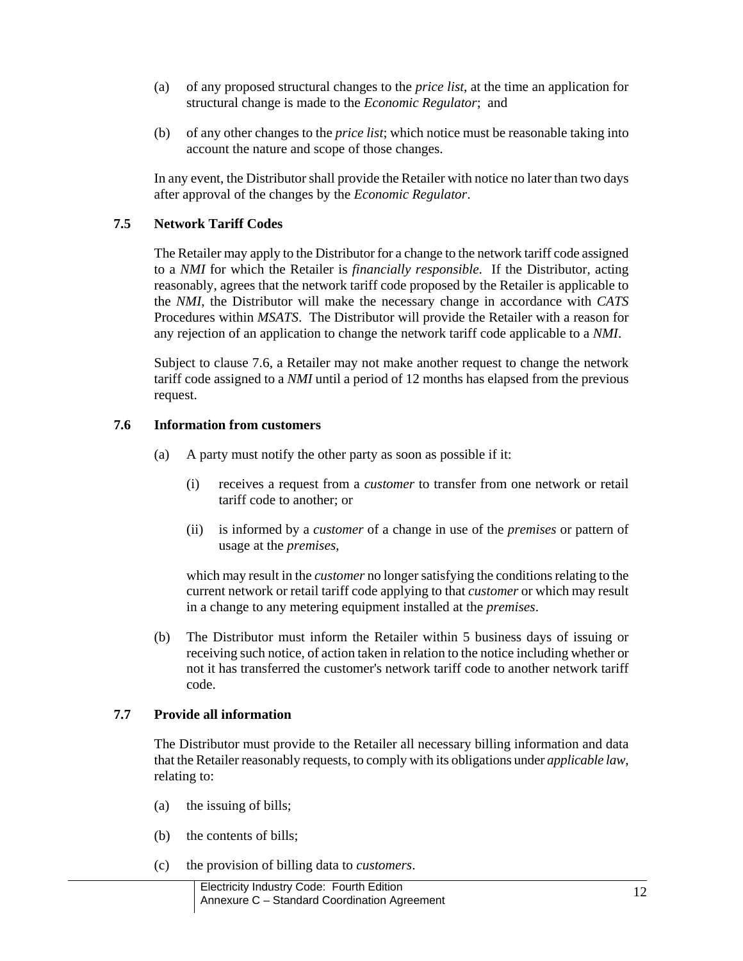- (a) of any proposed structural changes to the *price list*, at the time an application for structural change is made to the *Economic Regulator*; and
- (b) of any other changes to the *price list*; which notice must be reasonable taking into account the nature and scope of those changes.

In any event, the Distributor shall provide the Retailer with notice no later than two days after approval of the changes by the *Economic Regulator*.

## **7.5 Network Tariff Codes**

The Retailer may apply to the Distributor for a change to the network tariff code assigned to a *NMI* for which the Retailer is *financially responsible*. If the Distributor, acting reasonably, agrees that the network tariff code proposed by the Retailer is applicable to the *NMI*, the Distributor will make the necessary change in accordance with *CATS* Procedures within *MSATS*. The Distributor will provide the Retailer with a reason for any rejection of an application to change the network tariff code applicable to a *NMI*.

Subject to clause 7.6, a Retailer may not make another request to change the network tariff code assigned to a *NMI* until a period of 12 months has elapsed from the previous request.

### **7.6 Information from customers**

- (a) A party must notify the other party as soon as possible if it:
	- (i) receives a request from a *customer* to transfer from one network or retail tariff code to another; or
	- (ii) is informed by a *customer* of a change in use of the *premises* or pattern of usage at the *premises*,

which may result in the *customer* no longer satisfying the conditions relating to the current network or retail tariff code applying to that *customer* or which may result in a change to any metering equipment installed at the *premises*.

(b) The Distributor must inform the Retailer within 5 business days of issuing or receiving such notice, of action taken in relation to the notice including whether or not it has transferred the customer's network tariff code to another network tariff code.

## **7.7 Provide all information**

The Distributor must provide to the Retailer all necessary billing information and data that the Retailer reasonably requests, to comply with its obligations under *applicable law*, relating to:

- (a) the issuing of bills;
- (b) the contents of bills;
- (c) the provision of billing data to *customers*.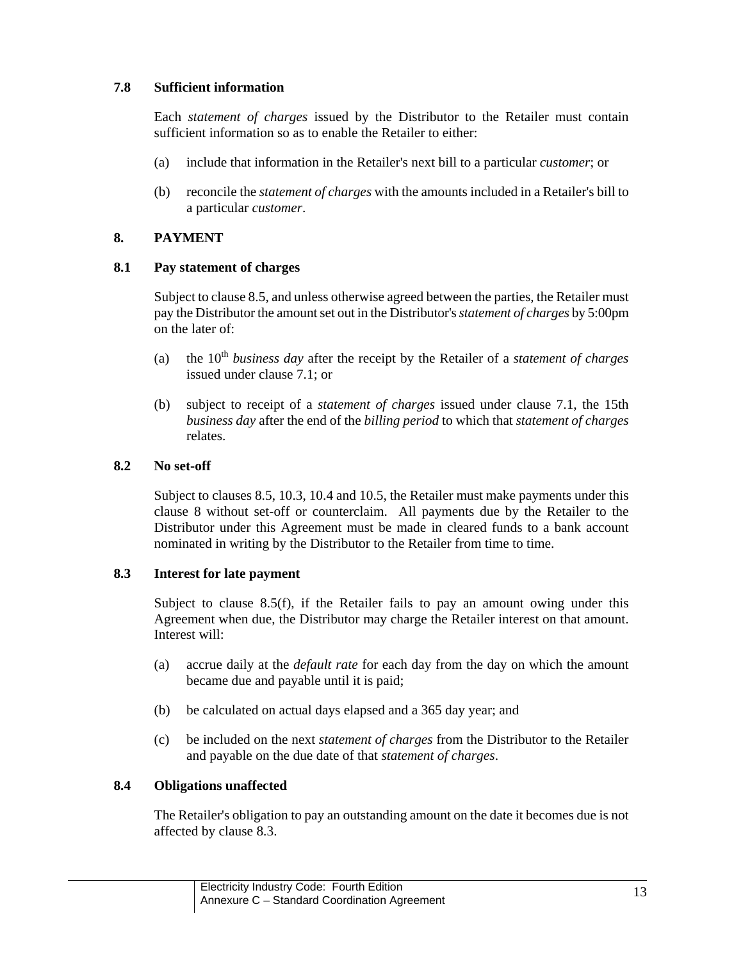## **7.8 Sufficient information**

Each *statement of charges* issued by the Distributor to the Retailer must contain sufficient information so as to enable the Retailer to either:

- (a) include that information in the Retailer's next bill to a particular *customer*; or
- (b) reconcile the *statement of charges* with the amounts included in a Retailer's bill to a particular *customer*.

## **8. PAYMENT**

## **8.1 Pay statement of charges**

Subject to clause 8.5, and unless otherwise agreed between the parties, the Retailer must pay the Distributor the amount set out in the Distributor's *statement of charges* by 5:00pm on the later of:

- (a) the 10th *business day* after the receipt by the Retailer of a *statement of charges* issued under clause 7.1; or
- (b) subject to receipt of a *statement of charges* issued under clause 7.1, the 15th *business day* after the end of the *billing period* to which that *statement of charges* relates.

## **8.2 No set-off**

Subject to clauses 8.5, 10.3, 10.4 and 10.5, the Retailer must make payments under this clause 8 without set-off or counterclaim. All payments due by the Retailer to the Distributor under this Agreement must be made in cleared funds to a bank account nominated in writing by the Distributor to the Retailer from time to time.

## **8.3 Interest for late payment**

Subject to clause  $8.5(f)$ , if the Retailer fails to pay an amount owing under this Agreement when due, the Distributor may charge the Retailer interest on that amount. Interest will:

- (a) accrue daily at the *default rate* for each day from the day on which the amount became due and payable until it is paid;
- (b) be calculated on actual days elapsed and a 365 day year; and
- (c) be included on the next *statement of charges* from the Distributor to the Retailer and payable on the due date of that *statement of charges*.

# **8.4 Obligations unaffected**

The Retailer's obligation to pay an outstanding amount on the date it becomes due is not affected by clause 8.3.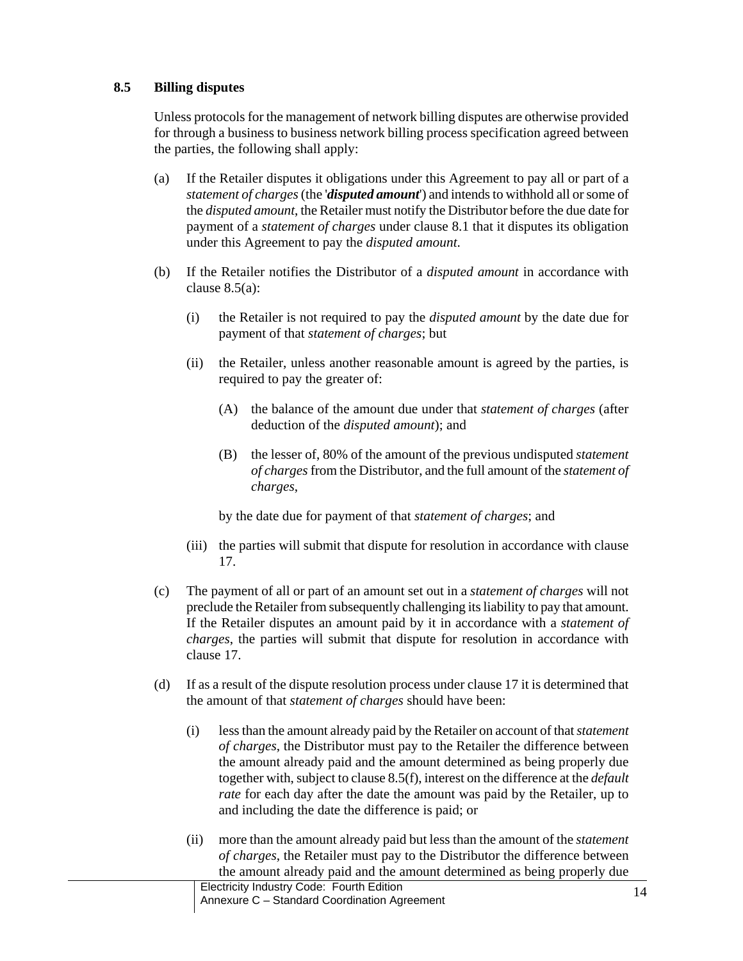## **8.5 Billing disputes**

Unless protocols for the management of network billing disputes are otherwise provided for through a business to business network billing process specification agreed between the parties, the following shall apply:

- (a) If the Retailer disputes it obligations under this Agreement to pay all or part of a *statement of charges* (the '*disputed amount*') and intends to withhold all or some of the *disputed amount*, the Retailer must notify the Distributor before the due date for payment of a *statement of charges* under clause 8.1 that it disputes its obligation under this Agreement to pay the *disputed amount*.
- (b) If the Retailer notifies the Distributor of a *disputed amount* in accordance with clause 8.5(a):
	- (i) the Retailer is not required to pay the *disputed amount* by the date due for payment of that *statement of charges*; but
	- (ii) the Retailer, unless another reasonable amount is agreed by the parties, is required to pay the greater of:
		- (A) the balance of the amount due under that *statement of charges* (after deduction of the *disputed amount*); and
		- (B) the lesser of, 80% of the amount of the previous undisputed *statement of charges* from the Distributor, and the full amount of the *statement of charges*,

by the date due for payment of that *statement of charges*; and

- (iii) the parties will submit that dispute for resolution in accordance with clause 17.
- (c) The payment of all or part of an amount set out in a *statement of charges* will not preclude the Retailer from subsequently challenging its liability to pay that amount. If the Retailer disputes an amount paid by it in accordance with a *statement of charges*, the parties will submit that dispute for resolution in accordance with clause 17.
- (d) If as a result of the dispute resolution process under clause 17 it is determined that the amount of that *statement of charges* should have been:
	- (i) less than the amount already paid by the Retailer on account of that *statement of charges*, the Distributor must pay to the Retailer the difference between the amount already paid and the amount determined as being properly due together with, subject to clause 8.5(f), interest on the difference at the *default rate* for each day after the date the amount was paid by the Retailer, up to and including the date the difference is paid; or
	- (ii) more than the amount already paid but less than the amount of the *statement of charges*, the Retailer must pay to the Distributor the difference between the amount already paid and the amount determined as being properly due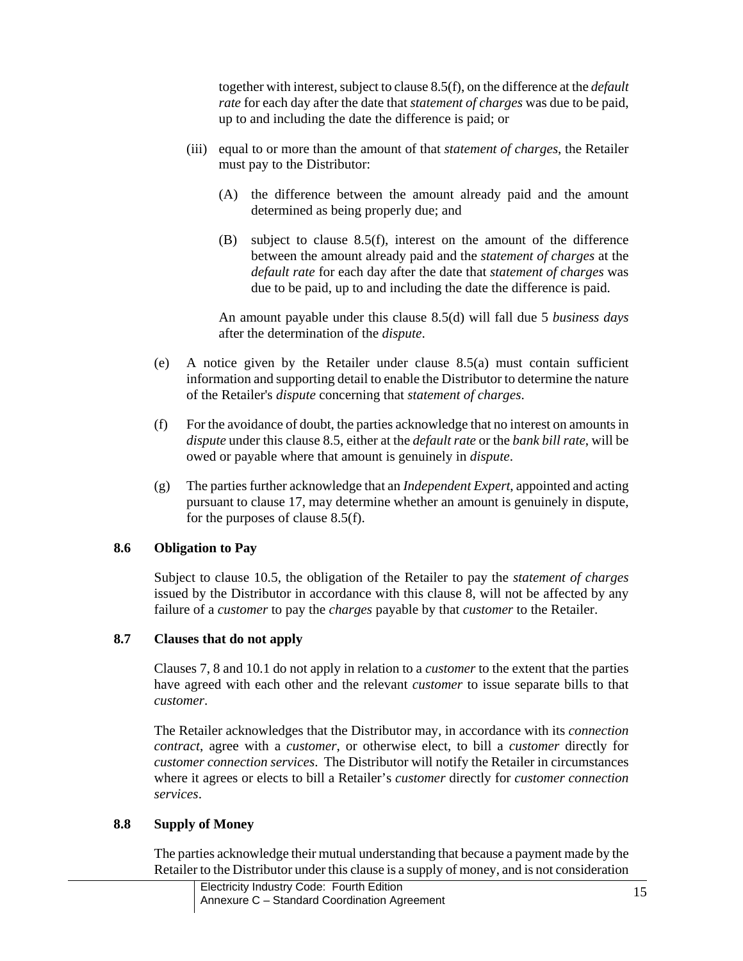together with interest, subject to clause 8.5(f), on the difference at the *default rate* for each day after the date that *statement of charges* was due to be paid, up to and including the date the difference is paid; or

- (iii) equal to or more than the amount of that *statement of charges*, the Retailer must pay to the Distributor:
	- (A) the difference between the amount already paid and the amount determined as being properly due; and
	- (B) subject to clause 8.5(f), interest on the amount of the difference between the amount already paid and the *statement of charges* at the *default rate* for each day after the date that *statement of charges* was due to be paid, up to and including the date the difference is paid.

An amount payable under this clause 8.5(d) will fall due 5 *business days* after the determination of the *dispute*.

- (e) A notice given by the Retailer under clause 8.5(a) must contain sufficient information and supporting detail to enable the Distributor to determine the nature of the Retailer's *dispute* concerning that *statement of charges*.
- (f) For the avoidance of doubt, the parties acknowledge that no interest on amounts in *dispute* under this clause 8.5, either at the *default rate* or the *bank bill rate*, will be owed or payable where that amount is genuinely in *dispute*.
- (g) The parties further acknowledge that an *Independent Expert*, appointed and acting pursuant to clause 17, may determine whether an amount is genuinely in dispute, for the purposes of clause 8.5(f).

# **8.6 Obligation to Pay**

Subject to clause 10.5, the obligation of the Retailer to pay the *statement of charges* issued by the Distributor in accordance with this clause 8, will not be affected by any failure of a *customer* to pay the *charges* payable by that *customer* to the Retailer.

# **8.7 Clauses that do not apply**

Clauses 7, 8 and 10.1 do not apply in relation to a *customer* to the extent that the parties have agreed with each other and the relevant *customer* to issue separate bills to that *customer*.

The Retailer acknowledges that the Distributor may, in accordance with its *connection contract*, agree with a *customer*, or otherwise elect, to bill a *customer* directly for *customer connection services*. The Distributor will notify the Retailer in circumstances where it agrees or elects to bill a Retailer's *customer* directly for *customer connection services*.

## **8.8 Supply of Money**

The parties acknowledge their mutual understanding that because a payment made by the Retailer to the Distributor under this clause is a supply of money, and is not consideration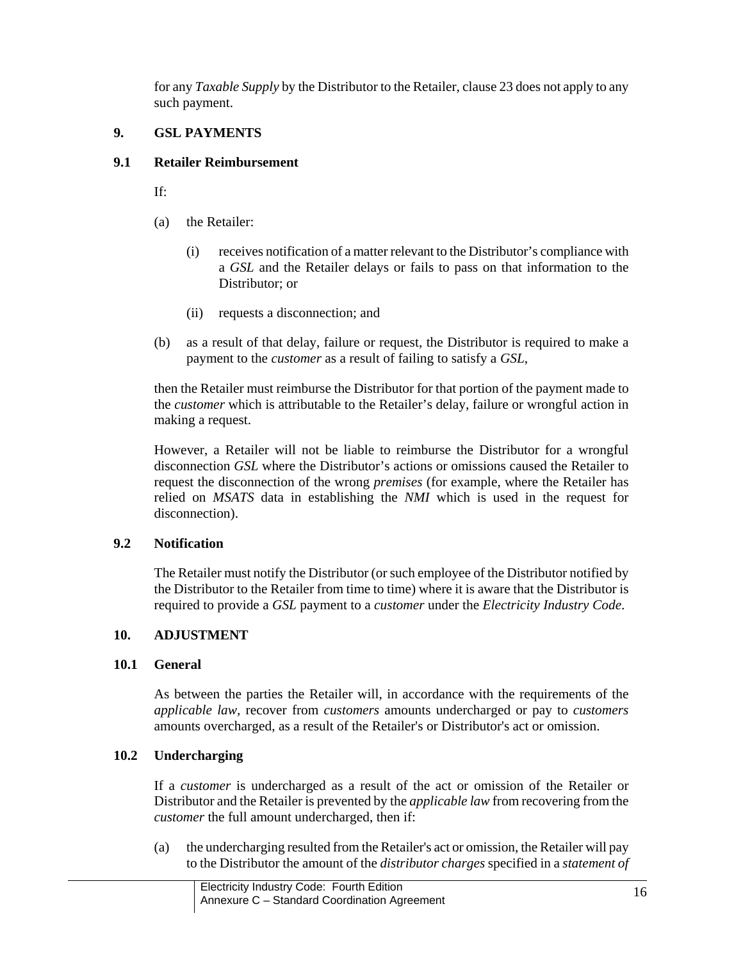for any *Taxable Supply* by the Distributor to the Retailer, clause 23 does not apply to any such payment.

# **9. GSL PAYMENTS**

## **9.1 Retailer Reimbursement**

If:

- (a) the Retailer:
	- (i) receives notification of a matter relevant to the Distributor's compliance with a *GSL* and the Retailer delays or fails to pass on that information to the Distributor; or
	- (ii) requests a disconnection; and
- (b) as a result of that delay, failure or request, the Distributor is required to make a payment to the *customer* as a result of failing to satisfy a *GSL*,

then the Retailer must reimburse the Distributor for that portion of the payment made to the *customer* which is attributable to the Retailer's delay, failure or wrongful action in making a request.

However, a Retailer will not be liable to reimburse the Distributor for a wrongful disconnection *GSL* where the Distributor's actions or omissions caused the Retailer to request the disconnection of the wrong *premises* (for example, where the Retailer has relied on *MSATS* data in establishing the *NMI* which is used in the request for disconnection).

# **9.2 Notification**

The Retailer must notify the Distributor (or such employee of the Distributor notified by the Distributor to the Retailer from time to time) where it is aware that the Distributor is required to provide a *GSL* payment to a *customer* under the *Electricity Industry Code*.

# **10. ADJUSTMENT**

# **10.1 General**

As between the parties the Retailer will, in accordance with the requirements of the *applicable law,* recover from *customers* amounts undercharged or pay to *customers*  amounts overcharged, as a result of the Retailer's or Distributor's act or omission.

# **10.2 Undercharging**

If a *customer* is undercharged as a result of the act or omission of the Retailer or Distributor and the Retailer is prevented by the *applicable law* from recovering from the *customer* the full amount undercharged, then if:

(a) the undercharging resulted from the Retailer's act or omission, the Retailer will pay to the Distributor the amount of the *distributor charges* specified in a *statement of*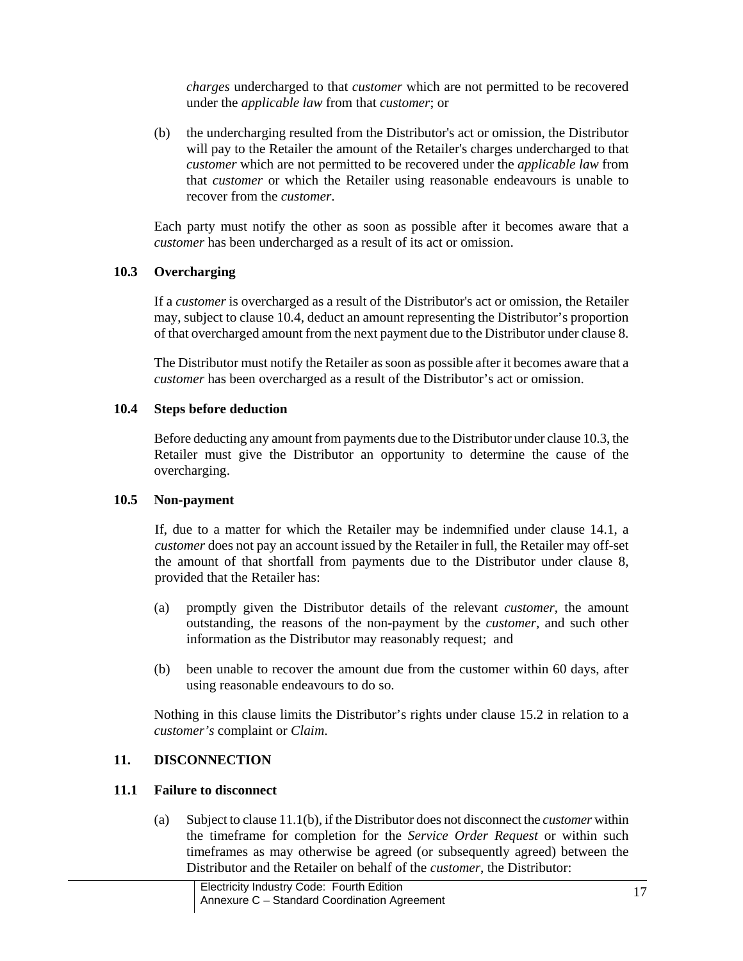*charges* undercharged to that *customer* which are not permitted to be recovered under the *applicable law* from that *customer*; or

(b) the undercharging resulted from the Distributor's act or omission, the Distributor will pay to the Retailer the amount of the Retailer's charges undercharged to that *customer* which are not permitted to be recovered under the *applicable law* from that *customer* or which the Retailer using reasonable endeavours is unable to recover from the *customer*.

Each party must notify the other as soon as possible after it becomes aware that a *customer* has been undercharged as a result of its act or omission.

## **10.3 Overcharging**

If a *customer* is overcharged as a result of the Distributor's act or omission, the Retailer may, subject to clause 10.4, deduct an amount representing the Distributor's proportion of that overcharged amount from the next payment due to the Distributor under clause 8.

The Distributor must notify the Retailer as soon as possible after it becomes aware that a *customer* has been overcharged as a result of the Distributor's act or omission.

#### **10.4 Steps before deduction**

Before deducting any amount from payments due to the Distributor under clause 10.3, the Retailer must give the Distributor an opportunity to determine the cause of the overcharging.

## **10.5 Non-payment**

If, due to a matter for which the Retailer may be indemnified under clause 14.1, a *customer* does not pay an account issued by the Retailer in full, the Retailer may off-set the amount of that shortfall from payments due to the Distributor under clause 8, provided that the Retailer has:

- (a) promptly given the Distributor details of the relevant *customer*, the amount outstanding, the reasons of the non-payment by the *customer*, and such other information as the Distributor may reasonably request; and
- (b) been unable to recover the amount due from the customer within 60 days, after using reasonable endeavours to do so.

Nothing in this clause limits the Distributor's rights under clause 15.2 in relation to a *customer's* complaint or *Claim*.

## **11. DISCONNECTION**

## **11.1 Failure to disconnect**

(a) Subject to clause 11.1(b), if the Distributor does not disconnect the *customer* within the timeframe for completion for the *Service Order Request* or within such timeframes as may otherwise be agreed (or subsequently agreed) between the Distributor and the Retailer on behalf of the *customer*, the Distributor: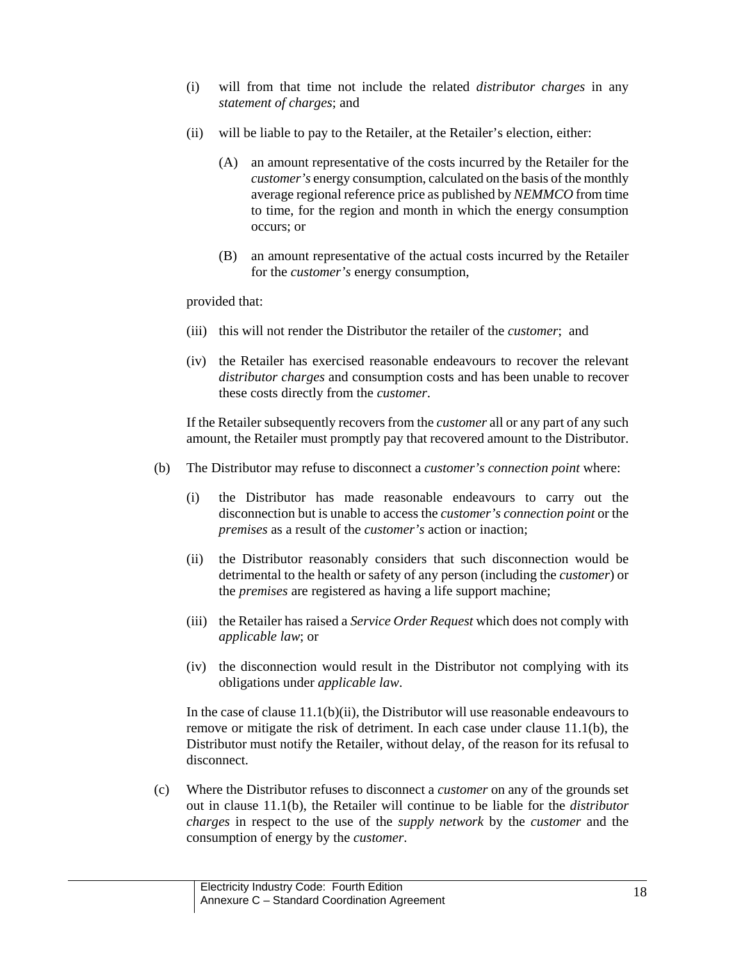- (i) will from that time not include the related *distributor charges* in any *statement of charges*; and
- (ii) will be liable to pay to the Retailer, at the Retailer's election, either:
	- (A) an amount representative of the costs incurred by the Retailer for the *customer's* energy consumption, calculated on the basis of the monthly average regional reference price as published by *NEMMCO* from time to time, for the region and month in which the energy consumption occurs; or
	- (B) an amount representative of the actual costs incurred by the Retailer for the *customer's* energy consumption,

provided that:

- (iii) this will not render the Distributor the retailer of the *customer*; and
- (iv) the Retailer has exercised reasonable endeavours to recover the relevant *distributor charges* and consumption costs and has been unable to recover these costs directly from the *customer*.

If the Retailer subsequently recovers from the *customer* all or any part of any such amount, the Retailer must promptly pay that recovered amount to the Distributor.

- (b) The Distributor may refuse to disconnect a *customer's connection point* where:
	- (i) the Distributor has made reasonable endeavours to carry out the disconnection but is unable to access the *customer's connection point* or the *premises* as a result of the *customer's* action or inaction;
	- (ii) the Distributor reasonably considers that such disconnection would be detrimental to the health or safety of any person (including the *customer*) or the *premises* are registered as having a life support machine;
	- (iii) the Retailer has raised a *Service Order Request* which does not comply with *applicable law*; or
	- (iv) the disconnection would result in the Distributor not complying with its obligations under *applicable law*.

In the case of clause 11.1(b)(ii), the Distributor will use reasonable endeavours to remove or mitigate the risk of detriment. In each case under clause 11.1(b), the Distributor must notify the Retailer, without delay, of the reason for its refusal to disconnect.

(c) Where the Distributor refuses to disconnect a *customer* on any of the grounds set out in clause 11.1(b), the Retailer will continue to be liable for the *distributor charges* in respect to the use of the *supply network* by the *customer* and the consumption of energy by the *customer*.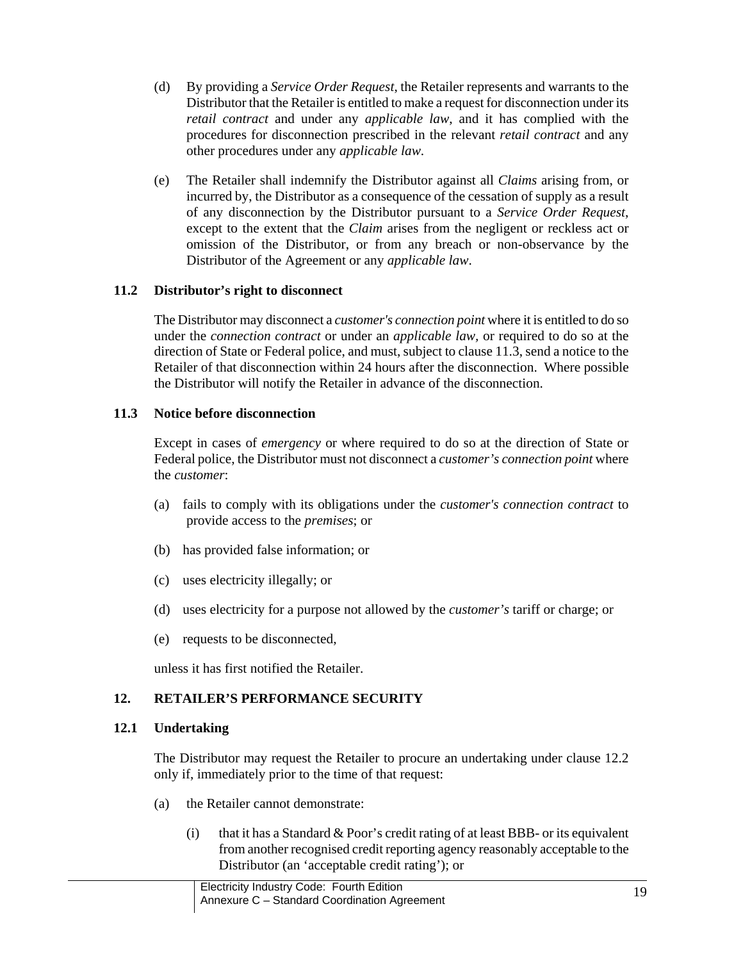- (d) By providing a *Service Order Request*, the Retailer represents and warrants to the Distributor that the Retailer is entitled to make a request for disconnection under its *retail contract* and under any *applicable law*, and it has complied with the procedures for disconnection prescribed in the relevant *retail contract* and any other procedures under any *applicable law*.
- (e) The Retailer shall indemnify the Distributor against all *Claims* arising from, or incurred by, the Distributor as a consequence of the cessation of supply as a result of any disconnection by the Distributor pursuant to a *Service Order Request*, except to the extent that the *Claim* arises from the negligent or reckless act or omission of the Distributor, or from any breach or non-observance by the Distributor of the Agreement or any *applicable law*.

## **11.2 Distributor's right to disconnect**

The Distributor may disconnect a *customer's connection point* where it is entitled to do so under the *connection contract* or under an *applicable law,* or required to do so at the direction of State or Federal police, and must, subject to clause 11.3, send a notice to the Retailer of that disconnection within 24 hours after the disconnection. Where possible the Distributor will notify the Retailer in advance of the disconnection.

## **11.3 Notice before disconnection**

Except in cases of *emergency* or where required to do so at the direction of State or Federal police, the Distributor must not disconnect a *customer's connection point* where the *customer*:

- (a) fails to comply with its obligations under the *customer's connection contract* to provide access to the *premises*; or
- (b) has provided false information; or
- (c) uses electricity illegally; or
- (d) uses electricity for a purpose not allowed by the *customer's* tariff or charge; or
- (e) requests to be disconnected,

unless it has first notified the Retailer.

# **12. RETAILER'S PERFORMANCE SECURITY**

## **12.1 Undertaking**

The Distributor may request the Retailer to procure an undertaking under clause 12.2 only if, immediately prior to the time of that request:

- (a) the Retailer cannot demonstrate:
	- (i) that it has a Standard  $&$  Poor's credit rating of at least BBB- or its equivalent from another recognised credit reporting agency reasonably acceptable to the Distributor (an 'acceptable credit rating'); or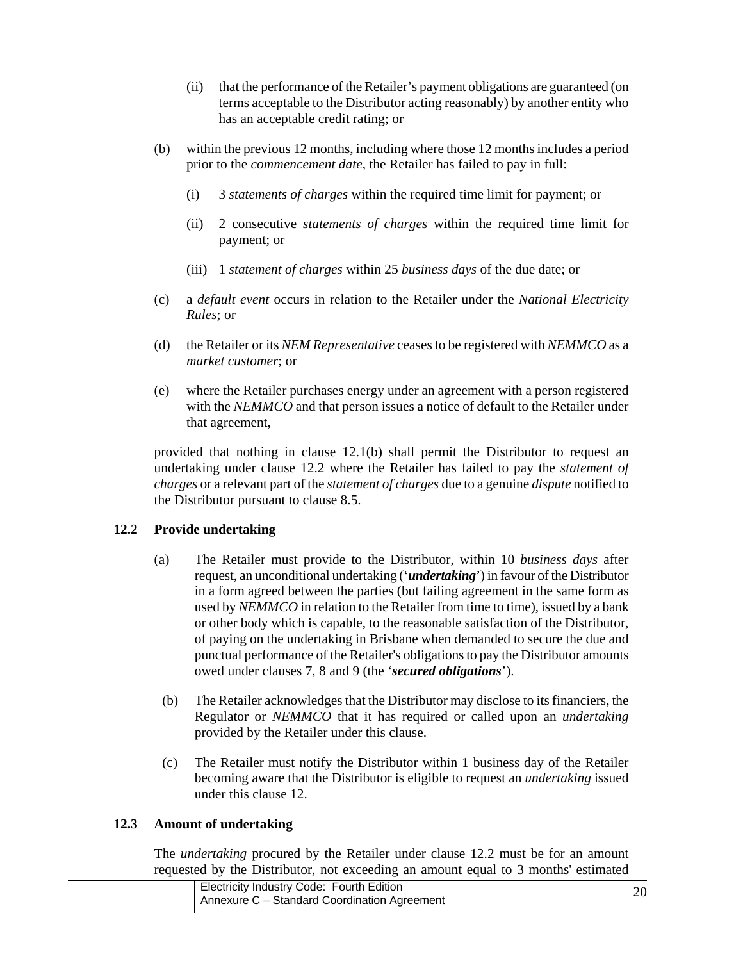- (ii) that the performance of the Retailer's payment obligations are guaranteed (on terms acceptable to the Distributor acting reasonably) by another entity who has an acceptable credit rating; or
- (b) within the previous 12 months, including where those 12 months includes a period prior to the *commencement date*, the Retailer has failed to pay in full:
	- (i) 3 *statements of charges* within the required time limit for payment; or
	- (ii) 2 consecutive *statements of charges* within the required time limit for payment; or
	- (iii) 1 *statement of charges* within 25 *business days* of the due date; or
- (c) a *default event* occurs in relation to the Retailer under the *National Electricity Rules*; or
- (d) the Retailer or its *NEM Representative* ceases to be registered with *NEMMCO* as a *market customer*; or
- (e) where the Retailer purchases energy under an agreement with a person registered with the *NEMMCO* and that person issues a notice of default to the Retailer under that agreement,

provided that nothing in clause 12.1(b) shall permit the Distributor to request an undertaking under clause 12.2 where the Retailer has failed to pay the *statement of charges* or a relevant part of the *statement of charges* due to a genuine *dispute* notified to the Distributor pursuant to clause 8.5.

# **12.2 Provide undertaking**

- (a) The Retailer must provide to the Distributor, within 10 *business days* after request, an unconditional undertaking ('*undertaking*') in favour of the Distributor in a form agreed between the parties (but failing agreement in the same form as used by *NEMMCO* in relation to the Retailer from time to time), issued by a bank or other body which is capable, to the reasonable satisfaction of the Distributor, of paying on the undertaking in Brisbane when demanded to secure the due and punctual performance of the Retailer's obligations to pay the Distributor amounts owed under clauses 7, 8 and 9 (the '*secured obligations*').
- (b) The Retailer acknowledges that the Distributor may disclose to its financiers, the Regulator or *NEMMCO* that it has required or called upon an *undertaking* provided by the Retailer under this clause.
- (c) The Retailer must notify the Distributor within 1 business day of the Retailer becoming aware that the Distributor is eligible to request an *undertaking* issued under this clause 12.

# **12.3 Amount of undertaking**

The *undertaking* procured by the Retailer under clause 12.2 must be for an amount requested by the Distributor, not exceeding an amount equal to 3 months' estimated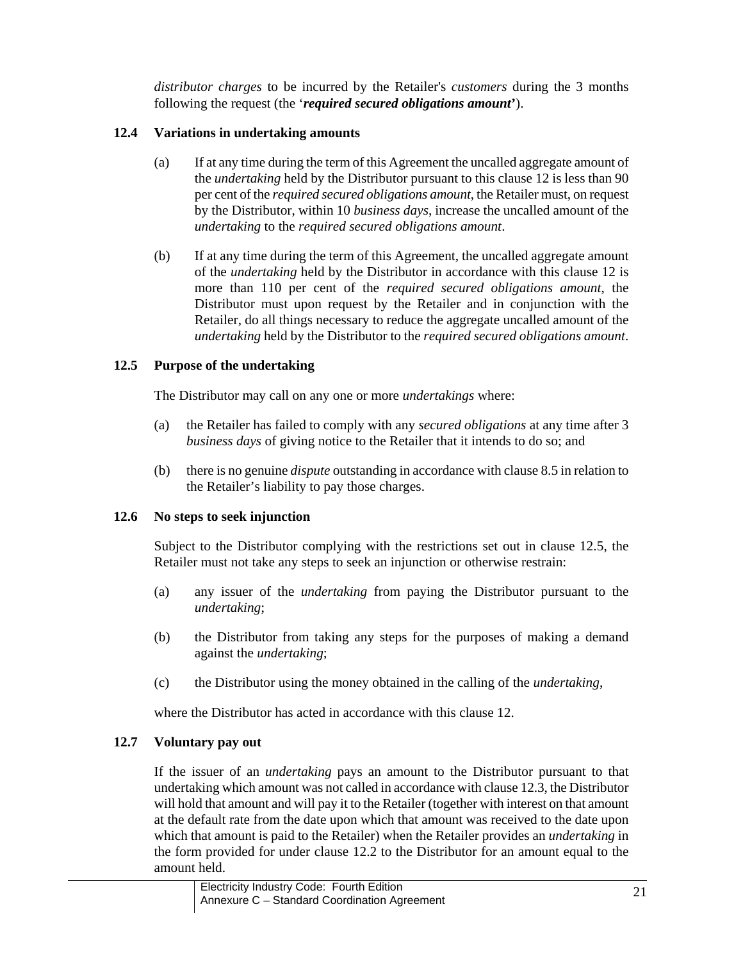*distributor charges* to be incurred by the Retailer's *customers* during the 3 months following the request (the '*required secured obligations amount***'**).

# **12.4 Variations in undertaking amounts**

- (a) If at any time during the term of this Agreement the uncalled aggregate amount of the *undertaking* held by the Distributor pursuant to this clause 12 is less than 90 per cent of the *required secured obligations amount*, the Retailer must, on request by the Distributor, within 10 *business days*, increase the uncalled amount of the *undertaking* to the *required secured obligations amount*.
- (b) If at any time during the term of this Agreement, the uncalled aggregate amount of the *undertaking* held by the Distributor in accordance with this clause 12 is more than 110 per cent of the *required secured obligations amount*, the Distributor must upon request by the Retailer and in conjunction with the Retailer, do all things necessary to reduce the aggregate uncalled amount of the *undertaking* held by the Distributor to the *required secured obligations amount*.

## **12.5 Purpose of the undertaking**

The Distributor may call on any one or more *undertakings* where:

- (a) the Retailer has failed to comply with any *secured obligations* at any time after 3 *business days* of giving notice to the Retailer that it intends to do so; and
- (b) there is no genuine *dispute* outstanding in accordance with clause 8.5 in relation to the Retailer's liability to pay those charges.

# **12.6 No steps to seek injunction**

Subject to the Distributor complying with the restrictions set out in clause 12.5, the Retailer must not take any steps to seek an injunction or otherwise restrain:

- (a) any issuer of the *undertaking* from paying the Distributor pursuant to the *undertaking*;
- (b) the Distributor from taking any steps for the purposes of making a demand against the *undertaking*;
- (c) the Distributor using the money obtained in the calling of the *undertaking*,

where the Distributor has acted in accordance with this clause 12.

# **12.7 Voluntary pay out**

If the issuer of an *undertaking* pays an amount to the Distributor pursuant to that undertaking which amount was not called in accordance with clause 12.3, the Distributor will hold that amount and will pay it to the Retailer (together with interest on that amount at the default rate from the date upon which that amount was received to the date upon which that amount is paid to the Retailer) when the Retailer provides an *undertaking* in the form provided for under clause 12.2 to the Distributor for an amount equal to the amount held.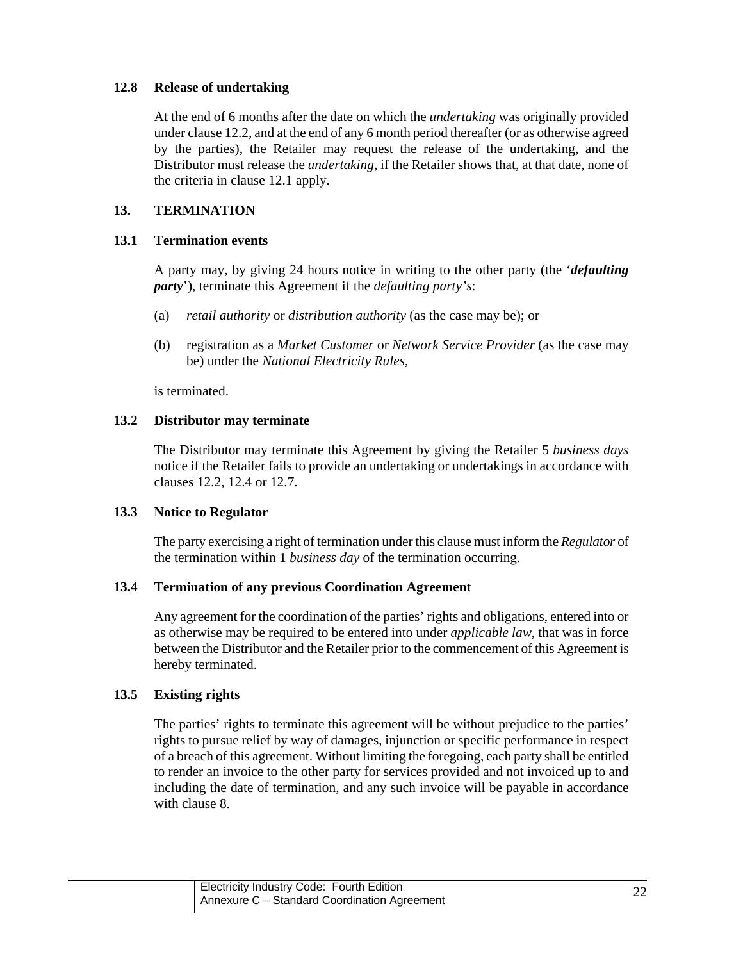## **12.8 Release of undertaking**

At the end of 6 months after the date on which the *undertaking* was originally provided under clause 12.2, and at the end of any 6 month period thereafter (or as otherwise agreed by the parties), the Retailer may request the release of the undertaking, and the Distributor must release the *undertaking*, if the Retailer shows that, at that date, none of the criteria in clause 12.1 apply.

## **13. TERMINATION**

### **13.1 Termination events**

A party may, by giving 24 hours notice in writing to the other party (the '*defaulting party*'), terminate this Agreement if the *defaulting party's*:

- (a) *retail authority* or *distribution authority* (as the case may be); or
- (b) registration as a *Market Customer* or *Network Service Provider* (as the case may be) under the *National Electricity Rules*,

is terminated.

## **13.2 Distributor may terminate**

The Distributor may terminate this Agreement by giving the Retailer 5 *business days*  notice if the Retailer fails to provide an undertaking or undertakings in accordance with clauses 12.2, 12.4 or 12.7.

## **13.3 Notice to Regulator**

The party exercising a right of termination under this clause must inform the *Regulator* of the termination within 1 *business day* of the termination occurring.

## **13.4 Termination of any previous Coordination Agreement**

Any agreement for the coordination of the parties' rights and obligations, entered into or as otherwise may be required to be entered into under *applicable law*, that was in force between the Distributor and the Retailer prior to the commencement of this Agreement is hereby terminated.

## **13.5 Existing rights**

The parties' rights to terminate this agreement will be without prejudice to the parties' rights to pursue relief by way of damages, injunction or specific performance in respect of a breach of this agreement. Without limiting the foregoing, each party shall be entitled to render an invoice to the other party for services provided and not invoiced up to and including the date of termination, and any such invoice will be payable in accordance with clause 8.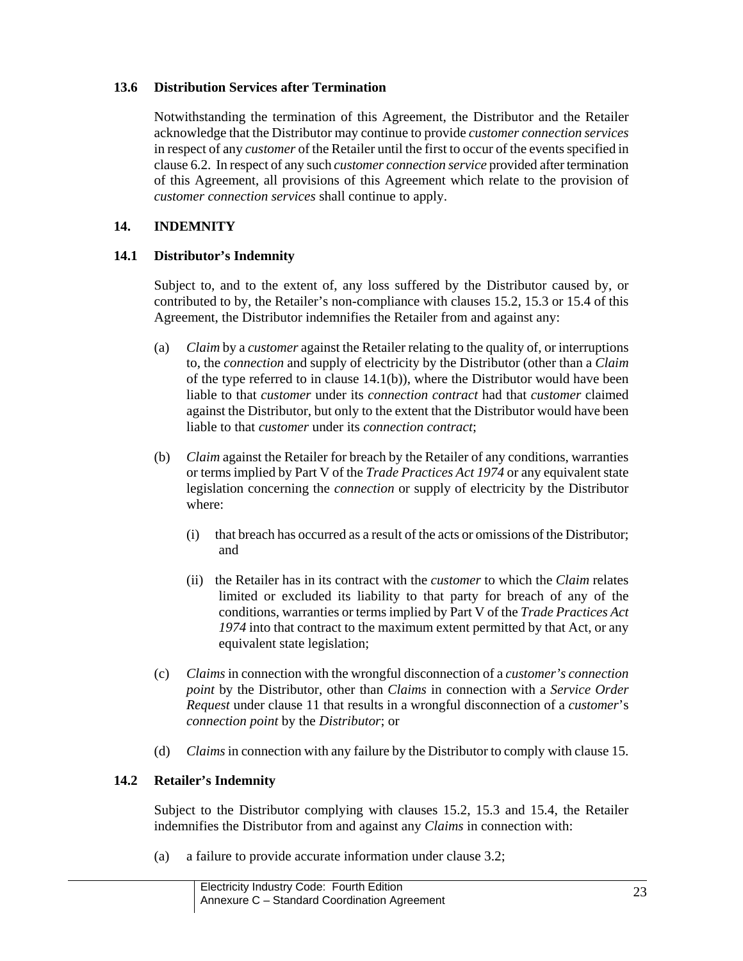## **13.6 Distribution Services after Termination**

Notwithstanding the termination of this Agreement, the Distributor and the Retailer acknowledge that the Distributor may continue to provide *customer connection services* in respect of any *customer* of the Retailer until the first to occur of the events specified in clause 6.2. In respect of any such *customer connection service* provided after termination of this Agreement, all provisions of this Agreement which relate to the provision of *customer connection services* shall continue to apply.

## **14. INDEMNITY**

### **14.1 Distributor's Indemnity**

Subject to, and to the extent of, any loss suffered by the Distributor caused by, or contributed to by, the Retailer's non-compliance with clauses 15.2, 15.3 or 15.4 of this Agreement, the Distributor indemnifies the Retailer from and against any:

- (a) *Claim* by a *customer* against the Retailer relating to the quality of, or interruptions to, the *connection* and supply of electricity by the Distributor (other than a *Claim* of the type referred to in clause 14.1(b)), where the Distributor would have been liable to that *customer* under its *connection contract* had that *customer* claimed against the Distributor, but only to the extent that the Distributor would have been liable to that *customer* under its *connection contract*;
- (b) *Claim* against the Retailer for breach by the Retailer of any conditions, warranties or terms implied by Part V of the *Trade Practices Act 1974* or any equivalent state legislation concerning the *connection* or supply of electricity by the Distributor where:
	- (i) that breach has occurred as a result of the acts or omissions of the Distributor; and
	- (ii) the Retailer has in its contract with the *customer* to which the *Claim* relates limited or excluded its liability to that party for breach of any of the conditions, warranties or terms implied by Part V of the *Trade Practices Act 1974* into that contract to the maximum extent permitted by that Act, or any equivalent state legislation;
- (c) *Claims* in connection with the wrongful disconnection of a *customer's connection point* by the Distributor, other than *Claims* in connection with a *Service Order Request* under clause 11 that results in a wrongful disconnection of a *customer*'s *connection point* by the *Distributor*; or
- (d) *Claims* in connection with any failure by the Distributor to comply with clause 15.

#### **14.2 Retailer's Indemnity**

Subject to the Distributor complying with clauses 15.2, 15.3 and 15.4, the Retailer indemnifies the Distributor from and against any *Claims* in connection with:

(a) a failure to provide accurate information under clause 3.2;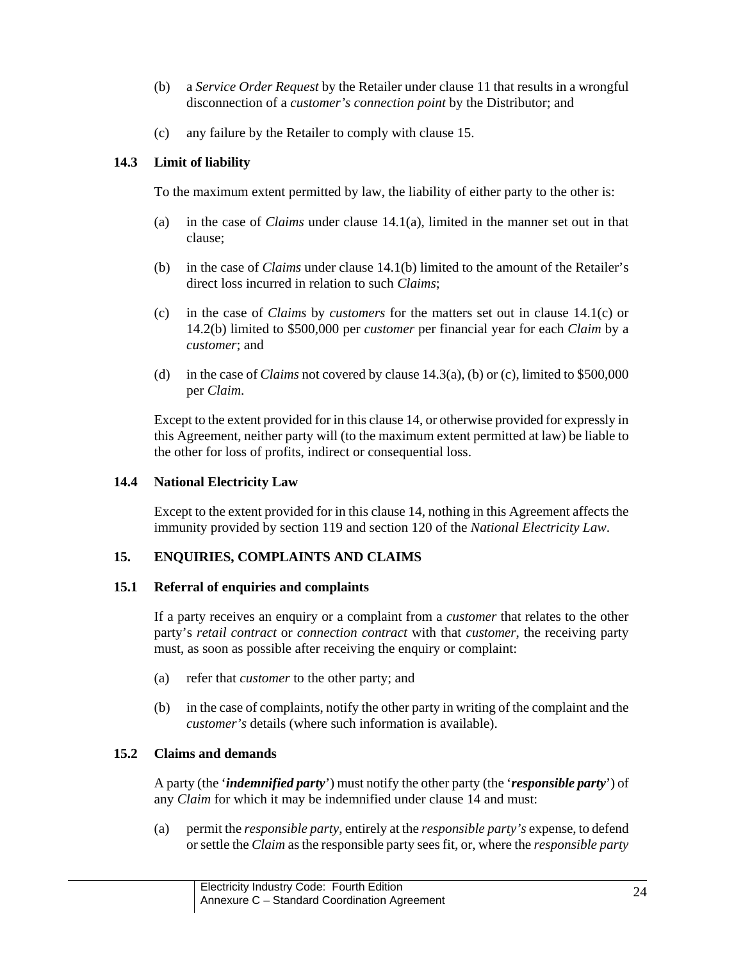- (b) a *Service Order Request* by the Retailer under clause 11 that results in a wrongful disconnection of a *customer's connection point* by the Distributor; and
- (c) any failure by the Retailer to comply with clause 15.

### **14.3 Limit of liability**

To the maximum extent permitted by law, the liability of either party to the other is:

- (a) in the case of *Claims* under clause 14.1(a), limited in the manner set out in that clause;
- (b) in the case of *Claims* under clause 14.1(b) limited to the amount of the Retailer's direct loss incurred in relation to such *Claims*;
- (c) in the case of *Claims* by *customers* for the matters set out in clause 14.1(c) or 14.2(b) limited to \$500,000 per *customer* per financial year for each *Claim* by a *customer*; and
- (d) in the case of *Claims* not covered by clause 14.3(a), (b) or (c), limited to \$500,000 per *Claim*.

Except to the extent provided for in this clause 14, or otherwise provided for expressly in this Agreement, neither party will (to the maximum extent permitted at law) be liable to the other for loss of profits, indirect or consequential loss.

#### **14.4 National Electricity Law**

Except to the extent provided for in this clause 14, nothing in this Agreement affects the immunity provided by section 119 and section 120 of the *National Electricity Law*.

## **15. ENQUIRIES, COMPLAINTS AND CLAIMS**

#### **15.1 Referral of enquiries and complaints**

If a party receives an enquiry or a complaint from a *customer* that relates to the other party's *retail contract* or *connection contract* with that *customer*, the receiving party must, as soon as possible after receiving the enquiry or complaint:

- (a) refer that *customer* to the other party; and
- (b) in the case of complaints, notify the other party in writing of the complaint and the *customer's* details (where such information is available).

#### **15.2 Claims and demands**

A party (the '*indemnified party*') must notify the other party (the '*responsible party*') of any *Claim* for which it may be indemnified under clause 14 and must:

(a) permit the *responsible party*, entirely at the *responsible party's* expense, to defend or settle the *Claim* as the responsible party sees fit, or, where the *responsible party*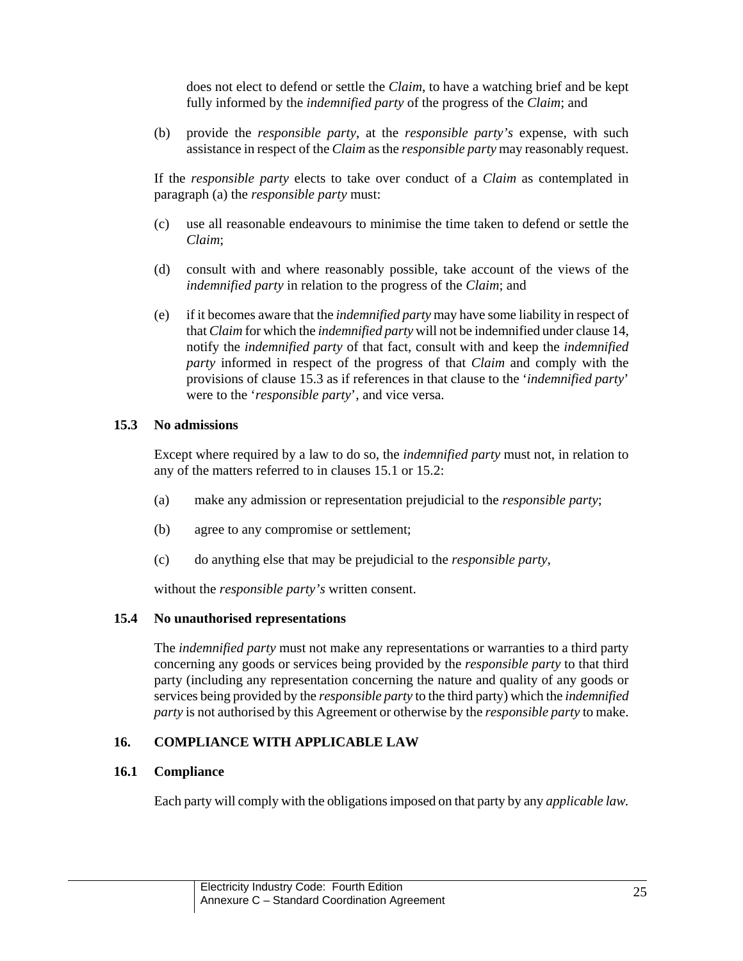does not elect to defend or settle the *Claim*, to have a watching brief and be kept fully informed by the *indemnified party* of the progress of the *Claim*; and

(b) provide the *responsible party*, at the *responsible party's* expense, with such assistance in respect of the *Claim* as the *responsible party* may reasonably request.

If the *responsible party* elects to take over conduct of a *Claim* as contemplated in paragraph (a) the *responsible party* must:

- (c) use all reasonable endeavours to minimise the time taken to defend or settle the *Claim*;
- (d) consult with and where reasonably possible, take account of the views of the *indemnified party* in relation to the progress of the *Claim*; and
- (e) if it becomes aware that the *indemnified party* may have some liability in respect of that *Claim* for which the *indemnified party* will not be indemnified under clause 14, notify the *indemnified party* of that fact, consult with and keep the *indemnified party* informed in respect of the progress of that *Claim* and comply with the provisions of clause 15.3 as if references in that clause to the '*indemnified party*' were to the '*responsible party*', and vice versa.

### **15.3 No admissions**

Except where required by a law to do so, the *indemnified party* must not, in relation to any of the matters referred to in clauses 15.1 or 15.2:

- (a) make any admission or representation prejudicial to the *responsible party*;
- (b) agree to any compromise or settlement;
- (c) do anything else that may be prejudicial to the *responsible party*,

without the *responsible party's* written consent.

## **15.4 No unauthorised representations**

The *indemnified party* must not make any representations or warranties to a third party concerning any goods or services being provided by the *responsible party* to that third party (including any representation concerning the nature and quality of any goods or services being provided by the *responsible party* to the third party) which the *indemnified party* is not authorised by this Agreement or otherwise by the *responsible party* to make.

## **16. COMPLIANCE WITH APPLICABLE LAW**

## **16.1 Compliance**

Each party will comply with the obligations imposed on that party by any *applicable law.*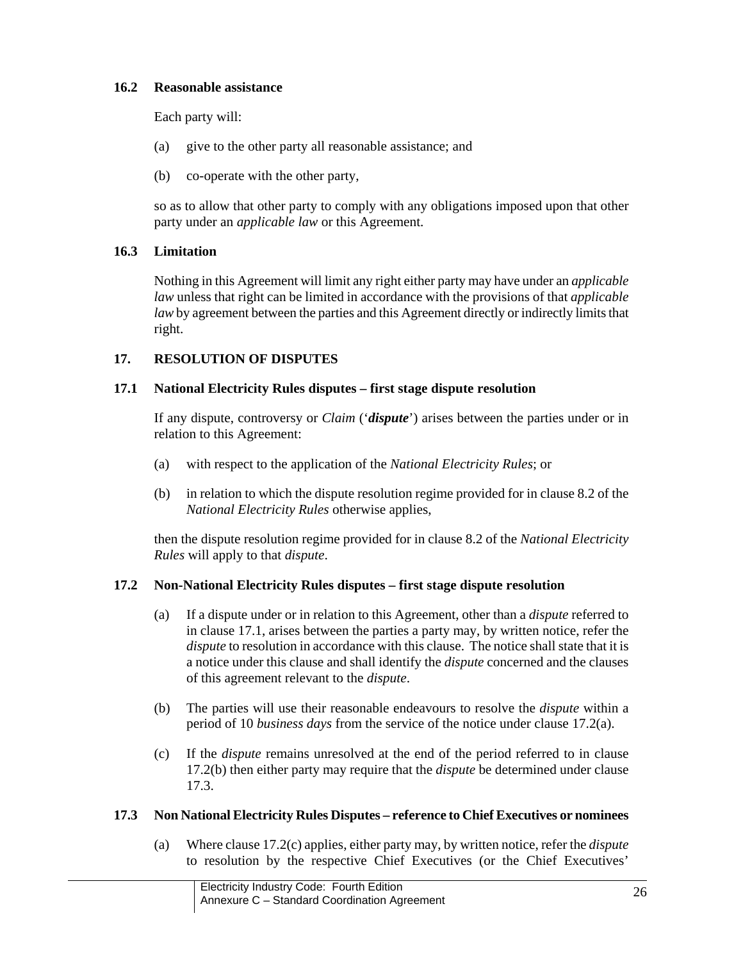## **16.2 Reasonable assistance**

Each party will:

- (a) give to the other party all reasonable assistance; and
- (b) co-operate with the other party,

so as to allow that other party to comply with any obligations imposed upon that other party under an *applicable law* or this Agreement.

## **16.3 Limitation**

Nothing in this Agreement will limit any right either party may have under an *applicable law* unless that right can be limited in accordance with the provisions of that *applicable law* by agreement between the parties and this Agreement directly or indirectly limits that right.

## **17. RESOLUTION OF DISPUTES**

## **17.1 National Electricity Rules disputes – first stage dispute resolution**

If any dispute, controversy or *Claim* ('*dispute*') arises between the parties under or in relation to this Agreement:

- (a) with respect to the application of the *National Electricity Rules*; or
- (b) in relation to which the dispute resolution regime provided for in clause 8.2 of the *National Electricity Rules* otherwise applies,

then the dispute resolution regime provided for in clause 8.2 of the *National Electricity Rules* will apply to that *dispute*.

# **17.2 Non-National Electricity Rules disputes – first stage dispute resolution**

- (a) If a dispute under or in relation to this Agreement, other than a *dispute* referred to in clause 17.1, arises between the parties a party may, by written notice, refer the *dispute* to resolution in accordance with this clause. The notice shall state that it is a notice under this clause and shall identify the *dispute* concerned and the clauses of this agreement relevant to the *dispute*.
- (b) The parties will use their reasonable endeavours to resolve the *dispute* within a period of 10 *business days* from the service of the notice under clause 17.2(a).
- (c) If the *dispute* remains unresolved at the end of the period referred to in clause 17.2(b) then either party may require that the *dispute* be determined under clause 17.3.

## **17.3 Non National Electricity Rules Disputes – reference to Chief Executives or nominees**

(a) Where clause 17.2(c) applies, either party may, by written notice, refer the *dispute*  to resolution by the respective Chief Executives (or the Chief Executives'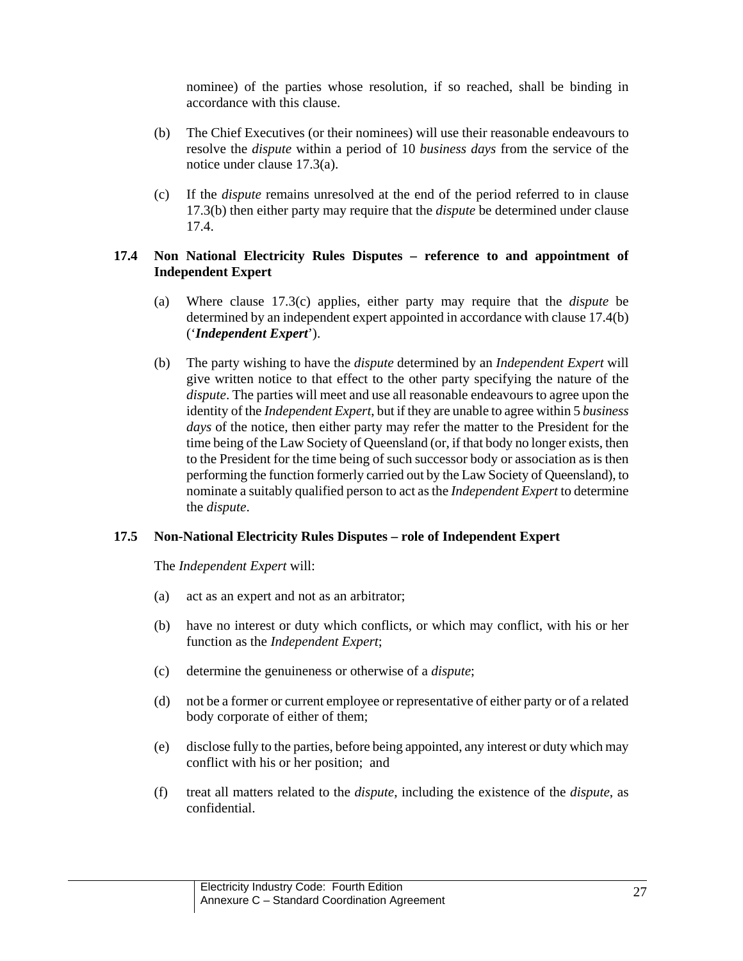nominee) of the parties whose resolution, if so reached, shall be binding in accordance with this clause.

- (b) The Chief Executives (or their nominees) will use their reasonable endeavours to resolve the *dispute* within a period of 10 *business days* from the service of the notice under clause 17.3(a).
- (c) If the *dispute* remains unresolved at the end of the period referred to in clause 17.3(b) then either party may require that the *dispute* be determined under clause 17.4.

## **17.4 Non National Electricity Rules Disputes – reference to and appointment of Independent Expert**

- (a) Where clause 17.3(c) applies, either party may require that the *dispute* be determined by an independent expert appointed in accordance with clause 17.4(b) ('*Independent Expert*').
- (b) The party wishing to have the *dispute* determined by an *Independent Expert* will give written notice to that effect to the other party specifying the nature of the *dispute*. The parties will meet and use all reasonable endeavours to agree upon the identity of the *Independent Expert*, but if they are unable to agree within 5 *business days* of the notice, then either party may refer the matter to the President for the time being of the Law Society of Queensland (or, if that body no longer exists, then to the President for the time being of such successor body or association as is then performing the function formerly carried out by the Law Society of Queensland), to nominate a suitably qualified person to act as the *Independent Expert* to determine the *dispute*.

## **17.5 Non-National Electricity Rules Disputes – role of Independent Expert**

The *Independent Expert* will:

- (a) act as an expert and not as an arbitrator;
- (b) have no interest or duty which conflicts, or which may conflict, with his or her function as the *Independent Expert*;
- (c) determine the genuineness or otherwise of a *dispute*;
- (d) not be a former or current employee or representative of either party or of a related body corporate of either of them;
- (e) disclose fully to the parties, before being appointed, any interest or duty which may conflict with his or her position; and
- (f) treat all matters related to the *dispute*, including the existence of the *dispute*, as confidential.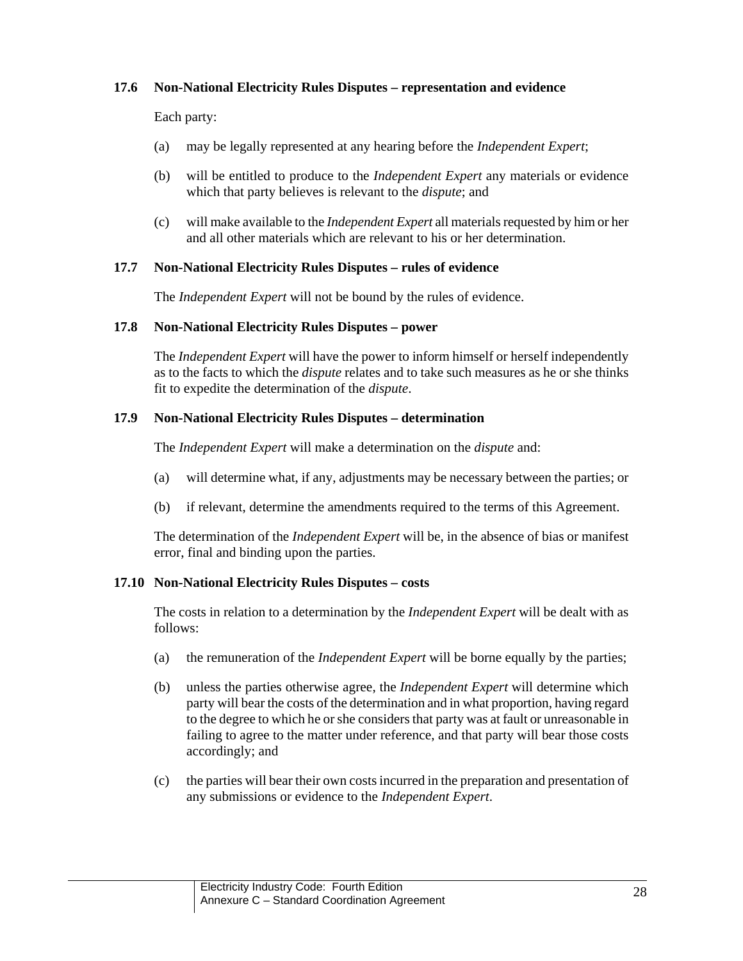## **17.6 Non-National Electricity Rules Disputes – representation and evidence**

Each party:

- (a) may be legally represented at any hearing before the *Independent Expert*;
- (b) will be entitled to produce to the *Independent Expert* any materials or evidence which that party believes is relevant to the *dispute*; and
- (c) will make available to the *Independent Expert* all materials requested by him or her and all other materials which are relevant to his or her determination.

#### **17.7 Non-National Electricity Rules Disputes – rules of evidence**

The *Independent Expert* will not be bound by the rules of evidence.

#### **17.8 Non-National Electricity Rules Disputes – power**

The *Independent Expert* will have the power to inform himself or herself independently as to the facts to which the *dispute* relates and to take such measures as he or she thinks fit to expedite the determination of the *dispute*.

#### **17.9 Non-National Electricity Rules Disputes – determination**

The *Independent Expert* will make a determination on the *dispute* and:

- (a) will determine what, if any, adjustments may be necessary between the parties; or
- (b) if relevant, determine the amendments required to the terms of this Agreement.

The determination of the *Independent Expert* will be, in the absence of bias or manifest error, final and binding upon the parties.

#### **17.10 Non-National Electricity Rules Disputes – costs**

The costs in relation to a determination by the *Independent Expert* will be dealt with as follows:

- (a) the remuneration of the *Independent Expert* will be borne equally by the parties;
- (b) unless the parties otherwise agree, the *Independent Expert* will determine which party will bear the costs of the determination and in what proportion, having regard to the degree to which he or she considers that party was at fault or unreasonable in failing to agree to the matter under reference, and that party will bear those costs accordingly; and
- (c) the parties will bear their own costs incurred in the preparation and presentation of any submissions or evidence to the *Independent Expert*.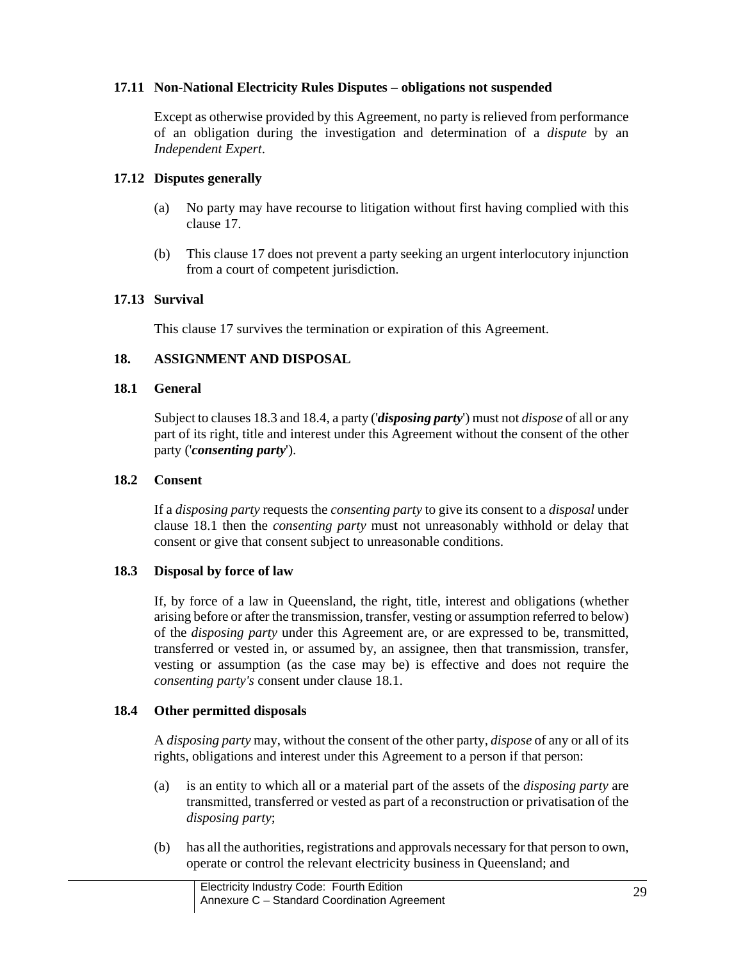### **17.11 Non-National Electricity Rules Disputes – obligations not suspended**

Except as otherwise provided by this Agreement, no party is relieved from performance of an obligation during the investigation and determination of a *dispute* by an *Independent Expert*.

### **17.12 Disputes generally**

- (a) No party may have recourse to litigation without first having complied with this clause 17.
- (b) This clause 17 does not prevent a party seeking an urgent interlocutory injunction from a court of competent jurisdiction.

### **17.13 Survival**

This clause 17 survives the termination or expiration of this Agreement.

### **18. ASSIGNMENT AND DISPOSAL**

#### **18.1 General**

Subject to clauses 18.3 and 18.4, a party ('*disposing party*') must not *dispose* of all or any part of its right, title and interest under this Agreement without the consent of the other party ('*consenting party*').

### **18.2 Consent**

If a *disposing party* requests the *consenting party* to give its consent to a *disposal* under clause 18.1 then the *consenting party* must not unreasonably withhold or delay that consent or give that consent subject to unreasonable conditions.

## **18.3 Disposal by force of law**

If, by force of a law in Queensland, the right, title, interest and obligations (whether arising before or after the transmission, transfer, vesting or assumption referred to below) of the *disposing party* under this Agreement are, or are expressed to be, transmitted, transferred or vested in, or assumed by, an assignee, then that transmission, transfer, vesting or assumption (as the case may be) is effective and does not require the *consenting party's* consent under clause 18.1.

## **18.4 Other permitted disposals**

A *disposing party* may, without the consent of the other party, *dispose* of any or all of its rights, obligations and interest under this Agreement to a person if that person:

- (a) is an entity to which all or a material part of the assets of the *disposing party* are transmitted, transferred or vested as part of a reconstruction or privatisation of the *disposing party*;
- (b) has all the authorities, registrations and approvals necessary for that person to own, operate or control the relevant electricity business in Queensland; and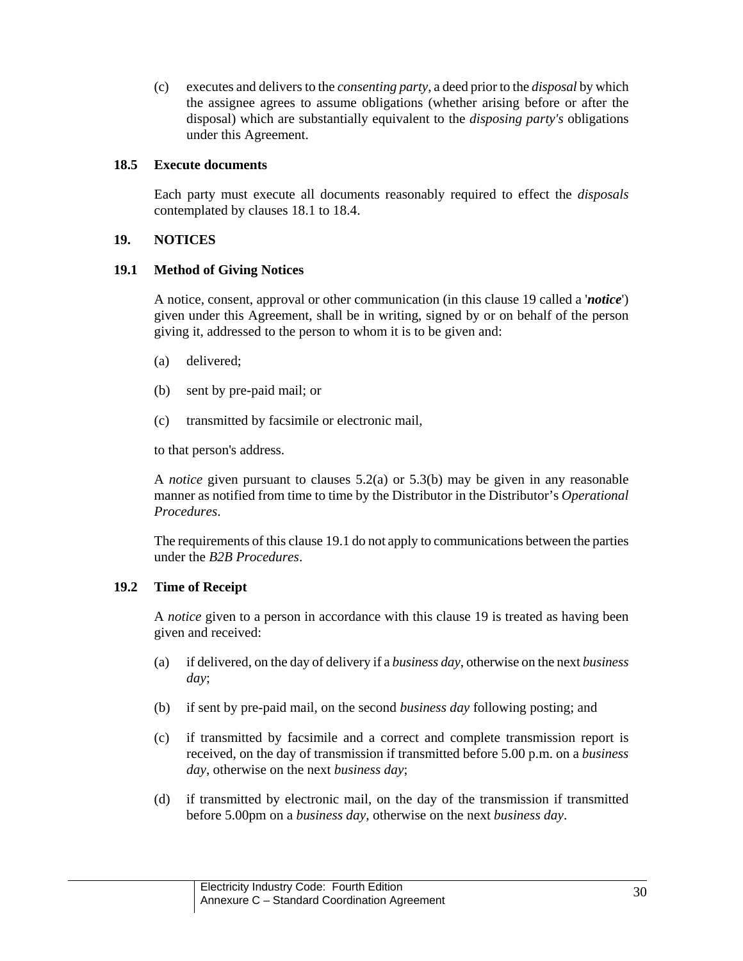(c) executes and delivers to the *consenting party*, a deed prior to the *disposal* by which the assignee agrees to assume obligations (whether arising before or after the disposal) which are substantially equivalent to the *disposing party's* obligations under this Agreement.

### **18.5 Execute documents**

Each party must execute all documents reasonably required to effect the *disposals* contemplated by clauses 18.1 to 18.4.

## **19. NOTICES**

## **19.1 Method of Giving Notices**

A notice, consent, approval or other communication (in this clause 19 called a '*notice*') given under this Agreement, shall be in writing, signed by or on behalf of the person giving it, addressed to the person to whom it is to be given and:

- (a) delivered;
- (b) sent by pre-paid mail; or
- (c) transmitted by facsimile or electronic mail,

to that person's address.

A *notice* given pursuant to clauses 5.2(a) or 5.3(b) may be given in any reasonable manner as notified from time to time by the Distributor in the Distributor's *Operational Procedures*.

The requirements of this clause 19.1 do not apply to communications between the parties under the *B2B Procedures*.

# **19.2 Time of Receipt**

A *notice* given to a person in accordance with this clause 19 is treated as having been given and received:

- (a) if delivered, on the day of delivery if a *business day*, otherwise on the next *business day*;
- (b) if sent by pre-paid mail, on the second *business day* following posting; and
- (c) if transmitted by facsimile and a correct and complete transmission report is received, on the day of transmission if transmitted before 5.00 p.m. on a *business day*, otherwise on the next *business day*;
- (d) if transmitted by electronic mail, on the day of the transmission if transmitted before 5.00pm on a *business day*, otherwise on the next *business day*.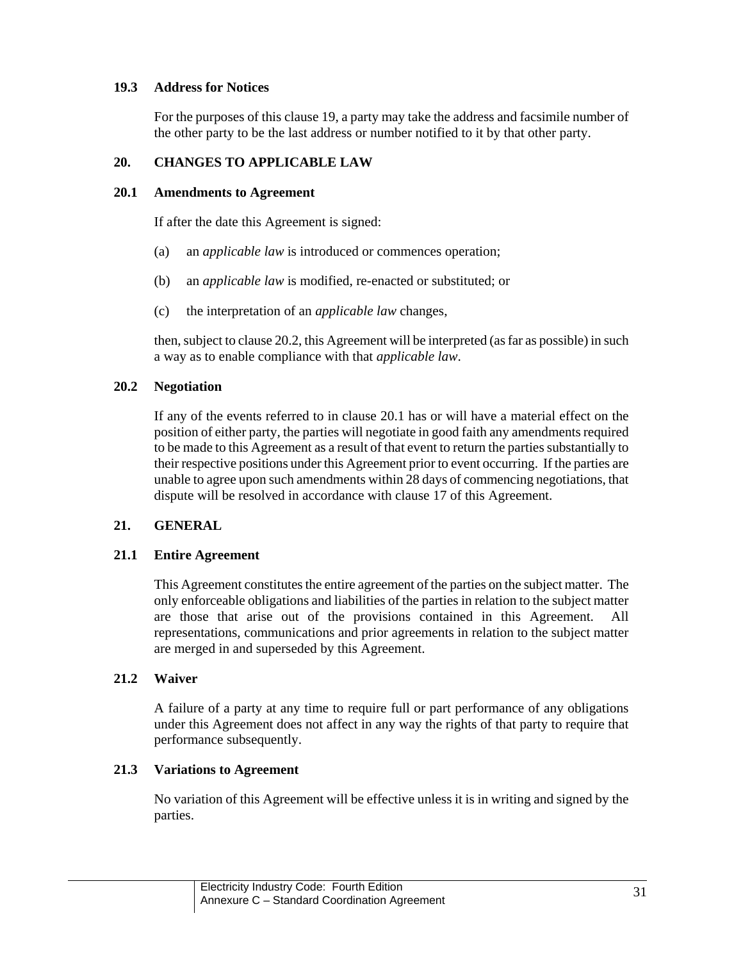## **19.3 Address for Notices**

For the purposes of this clause 19, a party may take the address and facsimile number of the other party to be the last address or number notified to it by that other party.

## **20. CHANGES TO APPLICABLE LAW**

#### **20.1 Amendments to Agreement**

If after the date this Agreement is signed:

- (a) an *applicable law* is introduced or commences operation;
- (b) an *applicable law* is modified, re-enacted or substituted; or
- (c) the interpretation of an *applicable law* changes,

then, subject to clause 20.2, this Agreement will be interpreted (as far as possible) in such a way as to enable compliance with that *applicable law*.

### **20.2 Negotiation**

If any of the events referred to in clause 20.1 has or will have a material effect on the position of either party, the parties will negotiate in good faith any amendments required to be made to this Agreement as a result of that event to return the parties substantially to their respective positions under this Agreement prior to event occurring. If the parties are unable to agree upon such amendments within 28 days of commencing negotiations, that dispute will be resolved in accordance with clause 17 of this Agreement.

## **21. GENERAL**

#### **21.1 Entire Agreement**

This Agreement constitutes the entire agreement of the parties on the subject matter. The only enforceable obligations and liabilities of the parties in relation to the subject matter are those that arise out of the provisions contained in this Agreement. All representations, communications and prior agreements in relation to the subject matter are merged in and superseded by this Agreement.

#### **21.2 Waiver**

A failure of a party at any time to require full or part performance of any obligations under this Agreement does not affect in any way the rights of that party to require that performance subsequently.

## **21.3 Variations to Agreement**

No variation of this Agreement will be effective unless it is in writing and signed by the parties.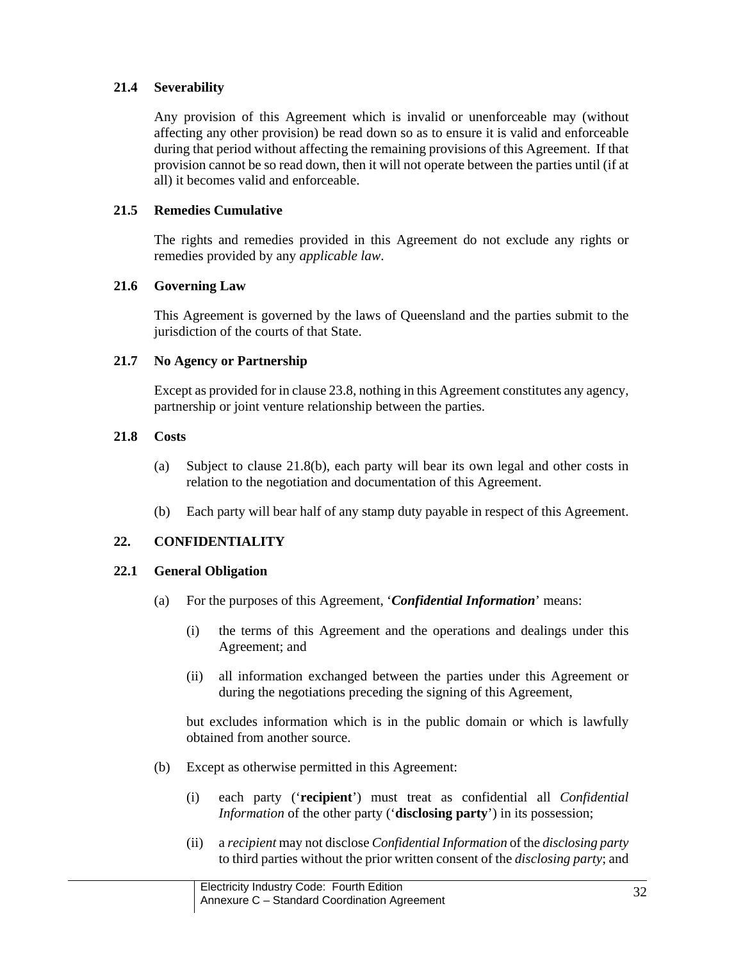## **21.4 Severability**

Any provision of this Agreement which is invalid or unenforceable may (without affecting any other provision) be read down so as to ensure it is valid and enforceable during that period without affecting the remaining provisions of this Agreement. If that provision cannot be so read down, then it will not operate between the parties until (if at all) it becomes valid and enforceable.

## **21.5 Remedies Cumulative**

The rights and remedies provided in this Agreement do not exclude any rights or remedies provided by any *applicable law*.

## **21.6 Governing Law**

This Agreement is governed by the laws of Queensland and the parties submit to the jurisdiction of the courts of that State.

## **21.7 No Agency or Partnership**

Except as provided for in clause 23.8, nothing in this Agreement constitutes any agency, partnership or joint venture relationship between the parties.

## **21.8 Costs**

- (a) Subject to clause 21.8(b), each party will bear its own legal and other costs in relation to the negotiation and documentation of this Agreement.
- (b) Each party will bear half of any stamp duty payable in respect of this Agreement.

# **22. CONFIDENTIALITY**

# **22.1 General Obligation**

- (a) For the purposes of this Agreement, '*Confidential Information*' means:
	- (i) the terms of this Agreement and the operations and dealings under this Agreement; and
	- (ii) all information exchanged between the parties under this Agreement or during the negotiations preceding the signing of this Agreement,

but excludes information which is in the public domain or which is lawfully obtained from another source.

- (b) Except as otherwise permitted in this Agreement:
	- (i) each party ('**recipient**') must treat as confidential all *Confidential Information* of the other party ('**disclosing party**') in its possession;
	- (ii) a *recipient* may not disclose *Confidential Information* of the *disclosing party* to third parties without the prior written consent of the *disclosing party*; and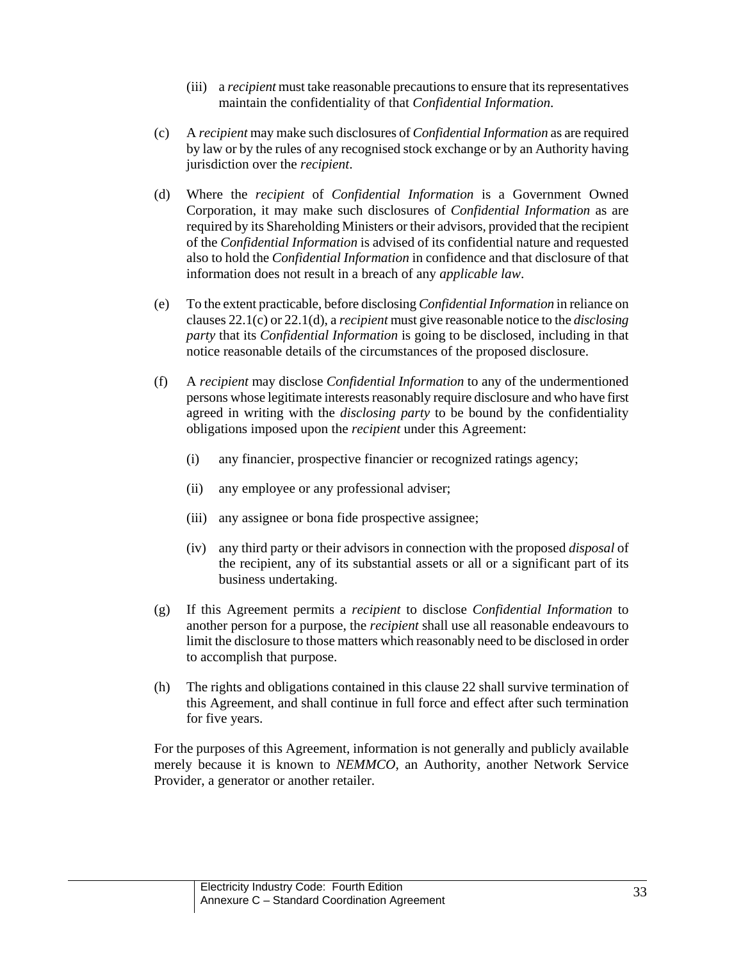- (iii) a *recipient* must take reasonable precautions to ensure that its representatives maintain the confidentiality of that *Confidential Information*.
- (c) A *recipient* may make such disclosures of *Confidential Information* as are required by law or by the rules of any recognised stock exchange or by an Authority having jurisdiction over the *recipient*.
- (d) Where the *recipient* of *Confidential Information* is a Government Owned Corporation, it may make such disclosures of *Confidential Information* as are required by its Shareholding Ministers or their advisors, provided that the recipient of the *Confidential Information* is advised of its confidential nature and requested also to hold the *Confidential Information* in confidence and that disclosure of that information does not result in a breach of any *applicable law*.
- (e) To the extent practicable, before disclosing *Confidential Information* in reliance on clauses 22.1(c) or 22.1(d), a *recipient* must give reasonable notice to the *disclosing party* that its *Confidential Information* is going to be disclosed, including in that notice reasonable details of the circumstances of the proposed disclosure.
- (f) A *recipient* may disclose *Confidential Information* to any of the undermentioned persons whose legitimate interests reasonably require disclosure and who have first agreed in writing with the *disclosing party* to be bound by the confidentiality obligations imposed upon the *recipient* under this Agreement:
	- (i) any financier, prospective financier or recognized ratings agency;
	- (ii) any employee or any professional adviser;
	- (iii) any assignee or bona fide prospective assignee;
	- (iv) any third party or their advisors in connection with the proposed *disposal* of the recipient, any of its substantial assets or all or a significant part of its business undertaking.
- (g) If this Agreement permits a *recipient* to disclose *Confidential Information* to another person for a purpose, the *recipient* shall use all reasonable endeavours to limit the disclosure to those matters which reasonably need to be disclosed in order to accomplish that purpose.
- (h) The rights and obligations contained in this clause 22 shall survive termination of this Agreement, and shall continue in full force and effect after such termination for five years.

For the purposes of this Agreement, information is not generally and publicly available merely because it is known to *NEMMCO*, an Authority, another Network Service Provider, a generator or another retailer.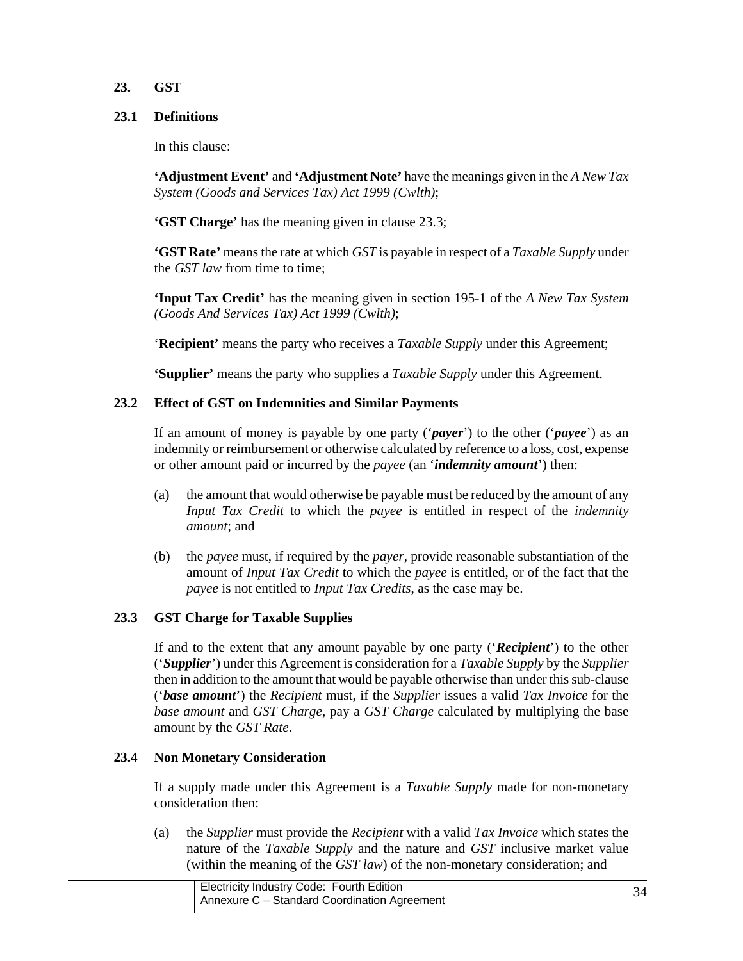## **23. GST**

## **23.1 Definitions**

In this clause:

**'Adjustment Event'** and **'Adjustment Note'** have the meanings given in the *A New Tax System (Goods and Services Tax) Act 1999 (Cwlth)*;

**'GST Charge'** has the meaning given in clause 23.3;

**'GST Rate'** means the rate at which *GST* is payable in respect of a *Taxable Supply* under the *GST law* from time to time;

**'Input Tax Credit'** has the meaning given in section 195-1 of the *A New Tax System (Goods And Services Tax) Act 1999 (Cwlth)*;

'**Recipient'** means the party who receives a *Taxable Supply* under this Agreement;

**'Supplier'** means the party who supplies a *Taxable Supply* under this Agreement.

# **23.2 Effect of GST on Indemnities and Similar Payments**

If an amount of money is payable by one party ('*payer*') to the other ('*payee*') as an indemnity or reimbursement or otherwise calculated by reference to a loss, cost, expense or other amount paid or incurred by the *payee* (an '*indemnity amount*') then:

- (a) the amount that would otherwise be payable must be reduced by the amount of any *Input Tax Credit* to which the *payee* is entitled in respect of the *indemnity amount*; and
- (b) the *payee* must, if required by the *payer*, provide reasonable substantiation of the amount of *Input Tax Credit* to which the *payee* is entitled, or of the fact that the *payee* is not entitled to *Input Tax Credits*, as the case may be.

# **23.3 GST Charge for Taxable Supplies**

If and to the extent that any amount payable by one party ('*Recipient*') to the other ('*Supplier*') under this Agreement is consideration for a *Taxable Supply* by the *Supplier* then in addition to the amount that would be payable otherwise than under this sub-clause ('*base amount*') the *Recipient* must, if the *Supplier* issues a valid *Tax Invoice* for the *base amount* and *GST Charge*, pay a *GST Charge* calculated by multiplying the base amount by the *GST Rate*.

# **23.4 Non Monetary Consideration**

If a supply made under this Agreement is a *Taxable Supply* made for non-monetary consideration then:

(a) the *Supplier* must provide the *Recipient* with a valid *Tax Invoice* which states the nature of the *Taxable Supply* and the nature and *GST* inclusive market value (within the meaning of the *GST law*) of the non-monetary consideration; and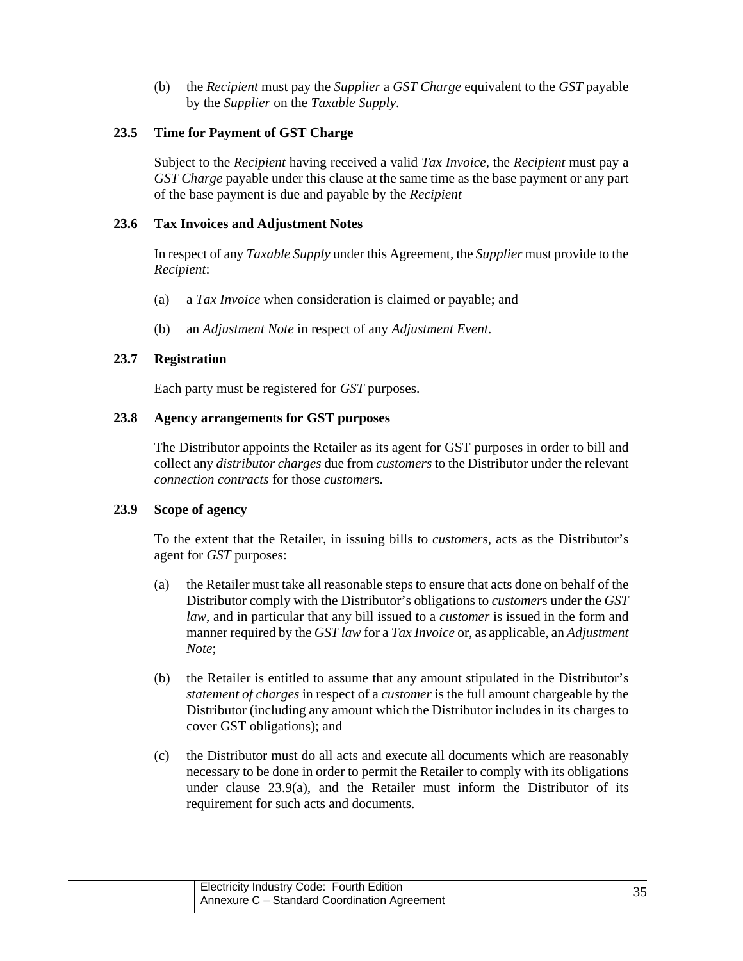(b) the *Recipient* must pay the *Supplier* a *GST Charge* equivalent to the *GST* payable by the *Supplier* on the *Taxable Supply*.

## **23.5 Time for Payment of GST Charge**

Subject to the *Recipient* having received a valid *Tax Invoice*, the *Recipient* must pay a *GST Charge* payable under this clause at the same time as the base payment or any part of the base payment is due and payable by the *Recipient*

## **23.6 Tax Invoices and Adjustment Notes**

In respect of any *Taxable Supply* under this Agreement, the *Supplier* must provide to the *Recipient*:

- (a) a *Tax Invoice* when consideration is claimed or payable; and
- (b) an *Adjustment Note* in respect of any *Adjustment Event*.

## **23.7 Registration**

Each party must be registered for *GST* purposes.

## **23.8 Agency arrangements for GST purposes**

The Distributor appoints the Retailer as its agent for GST purposes in order to bill and collect any *distributor charges* due from *customers* to the Distributor under the relevant *connection contracts* for those *customer*s.

# **23.9 Scope of agency**

To the extent that the Retailer, in issuing bills to *customer*s, acts as the Distributor's agent for *GST* purposes:

- (a) the Retailer must take all reasonable steps to ensure that acts done on behalf of the Distributor comply with the Distributor's obligations to *customer*s under the *GST law*, and in particular that any bill issued to a *customer* is issued in the form and manner required by the *GST law* for a *Tax Invoice* or, as applicable, an *Adjustment Note*;
- (b) the Retailer is entitled to assume that any amount stipulated in the Distributor's *statement of charges* in respect of a *customer* is the full amount chargeable by the Distributor (including any amount which the Distributor includes in its charges to cover GST obligations); and
- (c) the Distributor must do all acts and execute all documents which are reasonably necessary to be done in order to permit the Retailer to comply with its obligations under clause 23.9(a), and the Retailer must inform the Distributor of its requirement for such acts and documents.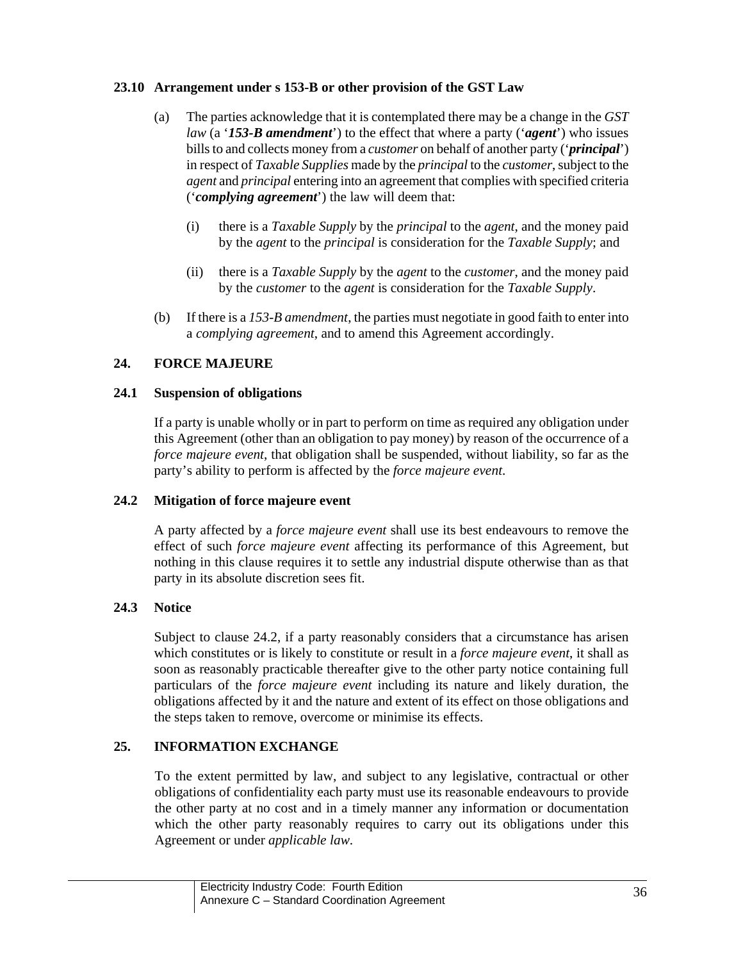## **23.10 Arrangement under s 153-B or other provision of the GST Law**

- (a) The parties acknowledge that it is contemplated there may be a change in the *GST law* (a '*153-B amendment*') to the effect that where a party ('*agent*') who issues bills to and collects money from a *customer* on behalf of another party ('*principal*') in respect of *Taxable Supplies* made by the *principal* to the *customer*, subject to the *agent* and *principal* entering into an agreement that complies with specified criteria ('*complying agreement*') the law will deem that:
	- (i) there is a *Taxable Supply* by the *principal* to the *agent*, and the money paid by the *agent* to the *principal* is consideration for the *Taxable Supply*; and
	- (ii) there is a *Taxable Supply* by the *agent* to the *customer*, and the money paid by the *customer* to the *agent* is consideration for the *Taxable Supply*.
- (b) If there is a *153-B amendment*, the parties must negotiate in good faith to enter into a *complying agreement*, and to amend this Agreement accordingly.

# **24. FORCE MAJEURE**

## **24.1 Suspension of obligations**

If a party is unable wholly or in part to perform on time as required any obligation under this Agreement (other than an obligation to pay money) by reason of the occurrence of a *force majeure event*, that obligation shall be suspended, without liability, so far as the party's ability to perform is affected by the *force majeure event*.

# **24.2 Mitigation of force majeure event**

A party affected by a *force majeure event* shall use its best endeavours to remove the effect of such *force majeure event* affecting its performance of this Agreement, but nothing in this clause requires it to settle any industrial dispute otherwise than as that party in its absolute discretion sees fit.

# **24.3 Notice**

Subject to clause 24.2, if a party reasonably considers that a circumstance has arisen which constitutes or is likely to constitute or result in a *force majeure event*, it shall as soon as reasonably practicable thereafter give to the other party notice containing full particulars of the *force majeure event* including its nature and likely duration, the obligations affected by it and the nature and extent of its effect on those obligations and the steps taken to remove, overcome or minimise its effects.

# **25. INFORMATION EXCHANGE**

To the extent permitted by law, and subject to any legislative, contractual or other obligations of confidentiality each party must use its reasonable endeavours to provide the other party at no cost and in a timely manner any information or documentation which the other party reasonably requires to carry out its obligations under this Agreement or under *applicable law*.